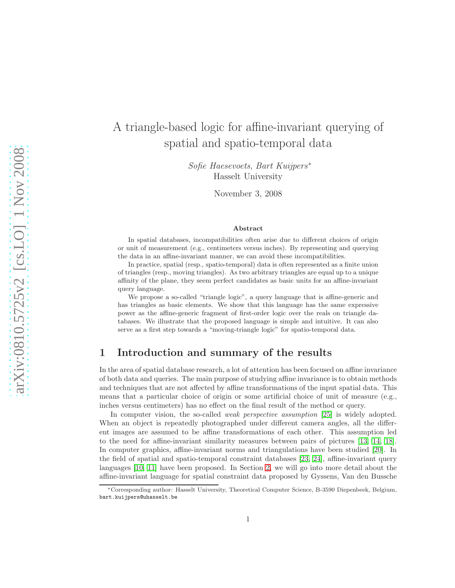# A triangle-based logic for affine-invariant querying of spatial and spatio-temporal data

Sofie Haesevoets, Bart Kuijpers<sup>∗</sup> Hasselt University

November 3, 2008

#### Abstract

In spatial databases, incompatibilities often arise due to different choices of origin or unit of measurement (e.g., centimeters versus inches). By representing and querying the data in an affine-invariant manner, we can avoid these incompatibilities.

In practice, spatial (resp., spatio-temporal) data is often represented as a finite union of triangles (resp., moving triangles). As two arbitrary triangles are equal up to a unique affinity of the plane, they seem perfect candidates as basic units for an affine-invariant query language.

We propose a so-called "triangle logic", a query language that is affine-generic and has triangles as basic elements. We show that this language has the same expressive power as the affine-generic fragment of first-order logic over the reals on triangle databases. We illustrate that the proposed language is simple and intuitive. It can also serve as a first step towards a "moving-triangle logic" for spatio-temporal data.

## 1 Introduction and summary of the results

In the area of spatial database research, a lot of attention has been focused on affine invariance of both data and queries. The main purpose of studying affine invariance is to obtain methods and techniques that are not affected by affine transformations of the input spatial data. This means that a particular choice of origin or some artificial choice of unit of measure (e.g., inches versus centimeters) has no effect on the final result of the method or query.

In computer vision, the so-called *weak perspective assumption* [\[25\]](#page-42-0) is widely adopted. When an object is repeatedly photographed under different camera angles, all the different images are assumed to be affine transformations of each other. This assumption led to the need for affine-invariant similarity measures between pairs of pictures [\[13,](#page-41-0) [14,](#page-42-1) [18\]](#page-42-2). In computer graphics, affine-invariant norms and triangulations have been studied [\[20\]](#page-42-3). In the field of spatial and spatio-temporal constraint databases [\[23,](#page-42-4) [24\]](#page-42-5), affine-invariant query languages [\[10,](#page-41-1) [11\]](#page-41-2) have been proposed. In Section [2,](#page-1-0) we will go into more detail about the affine-invariant language for spatial constraint data proposed by Gyssens, Van den Bussche

<sup>∗</sup>Corresponding author: Hasselt University, Theoretical Computer Science, B-3590 Diepenbeek, Belgium, bart.kuijpers@uhasselt.be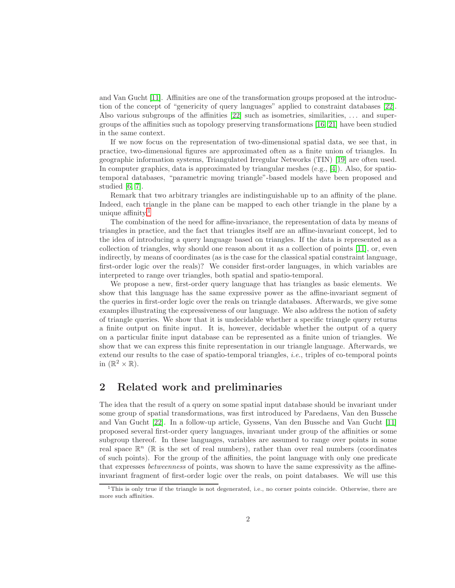and Van Gucht [\[11\]](#page-41-2). Affinities are one of the transformation groups proposed at the introduction of the concept of "genericity of query languages" applied to constraint databases [\[22\]](#page-42-6). Also various subgroups of the affinities [\[22\]](#page-42-6) such as isometries, similarities, ... and supergroups of the affinities such as topology preserving transformations [\[16,](#page-42-7) [21\]](#page-42-8) have been studied in the same context.

If we now focus on the representation of two-dimensional spatial data, we see that, in practice, two-dimensional figures are approximated often as a finite union of triangles. In geographic information systems, Triangulated Irregular Networks (TIN) [\[19\]](#page-42-9) are often used. In computer graphics, data is approximated by triangular meshes (e.g., [\[4\]](#page-41-3)). Also, for spatiotemporal databases, "parametric moving triangle"-based models have been proposed and studied [\[6,](#page-41-4) [7\]](#page-41-5).

Remark that two arbitrary triangles are indistinguishable up to an affinity of the plane. Indeed, each triangle in the plane can be mapped to each other triangle in the plane by a unique affinity. $\frac{1}{1}$  $\frac{1}{1}$  $\frac{1}{1}$ 

The combination of the need for affine-invariance, the representation of data by means of triangles in practice, and the fact that triangles itself are an affine-invariant concept, led to the idea of introducing a query language based on triangles. If the data is represented as a collection of triangles, why should one reason about it as a collection of points [\[11\]](#page-41-2), or, even indirectly, by means of coordinates (as is the case for the classical spatial constraint language, first-order logic over the reals)? We consider first-order languages, in which variables are interpreted to range over triangles, both spatial and spatio-temporal.

We propose a new, first-order query language that has triangles as basic elements. We show that this language has the same expressive power as the affine-invariant segment of the queries in first-order logic over the reals on triangle databases. Afterwards, we give some examples illustrating the expressiveness of our language. We also address the notion of safety of triangle queries. We show that it is undecidable whether a specific triangle query returns a finite output on finite input. It is, however, decidable whether the output of a query on a particular finite input database can be represented as a finite union of triangles. We show that we can express this finite representation in our triangle language. Afterwards, we extend our results to the case of spatio-temporal triangles, *i.e.*, triples of co-temporal points in  $(\mathbb{R}^2 \times \mathbb{R})$ .

## <span id="page-1-0"></span>2 Related work and preliminaries

The idea that the result of a query on some spatial input database should be invariant under some group of spatial transformations, was first introduced by Paredaens, Van den Bussche and Van Gucht [\[22\]](#page-42-6). In a follow-up article, Gyssens, Van den Bussche and Van Gucht [\[11\]](#page-41-2) proposed several first-order query languages, invariant under group of the affinities or some subgroup thereof. In these languages, variables are assumed to range over points in some real space  $\mathbb{R}^n$  ( $\mathbb R$  is the set of real numbers), rather than over real numbers (coordinates of such points). For the group of the affinities, the point language with only one predicate that expresses *betweenness* of points, was shown to have the same expressivity as the affineinvariant fragment of first-order logic over the reals, on point databases. We will use this

<span id="page-1-1"></span> $1$ This is only true if the triangle is not degenerated, i.e., no corner points coincide. Otherwise, there are more such affinities.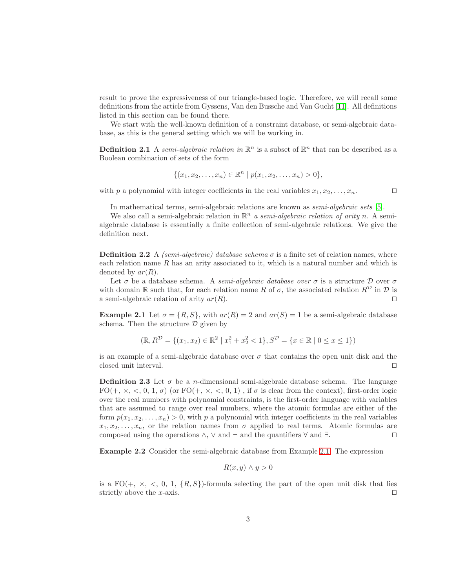result to prove the expressiveness of our triangle-based logic. Therefore, we will recall some definitions from the article from Gyssens, Van den Bussche and Van Gucht [\[11\]](#page-41-2). All definitions listed in this section can be found there.

We start with the well-known definition of a constraint database, or semi-algebraic database, as this is the general setting which we will be working in.

**Definition 2.1** A *semi-algebraic relation in*  $\mathbb{R}^n$  is a subset of  $\mathbb{R}^n$  that can be described as a Boolean combination of sets of the form

$$
\{(x_1, x_2, \ldots, x_n) \in \mathbb{R}^n \mid p(x_1, x_2, \ldots, x_n) > 0\},\
$$

with p a polynomial with integer coefficients in the real variables  $x_1, x_2, \ldots, x_n$ . □

In mathematical terms, semi-algebraic relations are known as *semi-algebraic sets* [\[5\]](#page-41-6).

We also call a semi-algebraic relation in  $\mathbb{R}^n$  *a semi-algebraic relation of arity* n. A semialgebraic database is essentially a finite collection of semi-algebraic relations. We give the definition next.

**Definition 2.2** A *(semi-algebraic) database schema*  $\sigma$  is a finite set of relation names, where each relation name  $R$  has an arity associated to it, which is a natural number and which is denoted by  $ar(R)$ .

Let  $\sigma$  be a database schema. A *semi-algebraic database over*  $\sigma$  is a structure  $\mathcal D$  over  $\sigma$ with domain R such that, for each relation name R of  $\sigma$ , the associated relation  $R^{\mathcal{D}}$  in  $\mathcal{D}$  is a semi-algebraic relation of arity  $ar(R)$ . □

<span id="page-2-0"></span>**Example 2.1** Let  $\sigma = \{R, S\}$ , with  $ar(R) = 2$  and  $ar(S) = 1$  be a semi-algebraic database schema. Then the structure  $\mathcal D$  given by

$$
(\mathbb{R}, R^{\mathcal{D}} = \{(x_1, x_2) \in \mathbb{R}^2 \mid x_1^2 + x_2^2 < 1\}, S^{\mathcal{D}} = \{x \in \mathbb{R} \mid 0 \le x \le 1\})
$$

is an example of a semi-algebraic database over  $\sigma$  that contains the open unit disk and the closed unit interval. ⊓⊔

**Definition 2.3** Let  $\sigma$  be a *n*-dimensional semi-algebraic database schema. The language  $FO(+, \times, \leq, 0, 1, \sigma)$  (or  $FO(+, \times, \leq, 0, 1)$ ), if  $\sigma$  is clear from the context), first-order logic over the real numbers with polynomial constraints, is the first-order language with variables that are assumed to range over real numbers, where the atomic formulas are either of the form  $p(x_1, x_2, \ldots, x_n) > 0$ , with p a polynomial with integer coefficients in the real variables  $x_1, x_2, \ldots, x_n$ , or the relation names from  $\sigma$  applied to real terms. Atomic formulas are composed using the operations  $\wedge$ ,  $\vee$  and  $\neg$  and the quantifiers  $\forall$  and  $\exists$ . □

Example 2.2 Consider the semi-algebraic database from Example [2.1.](#page-2-0) The expression

$$
R(x, y) \wedge y > 0
$$

is a  $FO(+, \times, \leq, 0, 1, \{R, S\})$ -formula selecting the part of the open unit disk that lies strictly above the x-axis. □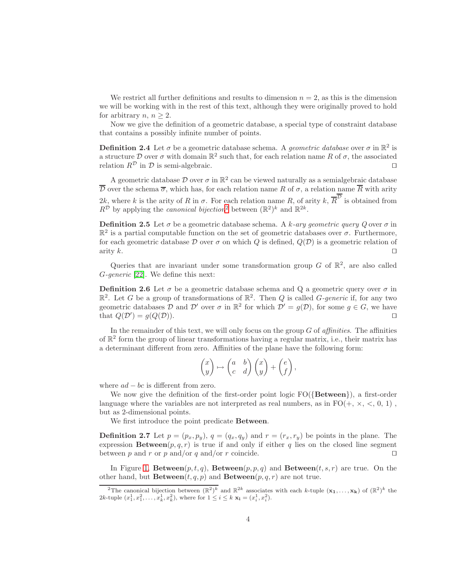We restrict all further definitions and results to dimension  $n = 2$ , as this is the dimension we will be working with in the rest of this text, although they were originally proved to hold for arbitrary *n*,  $n \geq 2$ .

Now we give the definition of a geometric database, a special type of constraint database that contains a possibly infinite number of points.

**Definition 2.4** Let  $\sigma$  be a geometric database schema. A *geometric database* over  $\sigma$  in  $\mathbb{R}^2$  is a structure D over  $\sigma$  with domain  $\mathbb{R}^2$  such that, for each relation name R of  $\sigma$ , the associated relation  $R^{\mathcal{D}}$  in  $\mathcal{D}$  is semi-algebraic. □

A geometric database  $\mathcal D$  over  $\sigma$  in  $\mathbb R^2$  can be viewed naturally as a semialgebraic database  $\overline{\mathcal{D}}$  over the schema  $\overline{\sigma}$ , which has, for each relation name R of  $\sigma$ , a relation name  $\overline{R}$  with arity 2k, where k is the arity of R in  $\sigma$ . For each relation name R, of arity  $k, \overline{R}^{\overline{D}}$  is obtained from  $R^{\mathcal{D}}$  by applying the *canonical bijection*<sup>[2](#page-3-0)</sup> between  $(\mathbb{R}^2)^k$  and  $\mathbb{R}^{2k}$ .

**Definition 2.5** Let  $\sigma$  be a geometric database schema. A k-ary geometric query Q over  $\sigma$  in  $\mathbb{R}^2$  is a partial computable function on the set of geometric databases over  $\sigma$ . Furthermore, for each geometric database  $\mathcal D$  over  $\sigma$  on which Q is defined,  $Q(\mathcal D)$  is a geometric relation of arity k.  $□$ 

Queries that are invariant under some transformation group  $G$  of  $\mathbb{R}^2$ , are also called G*-generic* [\[22\]](#page-42-6). We define this next:

**Definition 2.6** Let  $\sigma$  be a geometric database schema and Q a geometric query over  $\sigma$  in  $\mathbb{R}^2$ . Let G be a group of transformations of  $\mathbb{R}^2$ . Then Q is called G-generic if, for any two geometric databases D and D' over  $\sigma$  in  $\mathbb{R}^2$  for which  $\mathcal{D}' = g(\mathcal{D})$ , for some  $g \in G$ , we have that  $Q(\mathcal{D}') = g(Q(\mathcal{D})).$ 

In the remainder of this text, we will only focus on the group G of *affinities*. The affinities of  $\mathbb{R}^2$  form the group of linear transformations having a regular matrix, i.e., their matrix has a determinant different from zero. Affinities of the plane have the following form:

$$
\begin{pmatrix} x \\ y \end{pmatrix} \mapsto \begin{pmatrix} a & b \\ c & d \end{pmatrix} \begin{pmatrix} x \\ y \end{pmatrix} + \begin{pmatrix} e \\ f \end{pmatrix},
$$

where  $ad - bc$  is different from zero.

We now give the definition of the first-order point logic  $FO({\lbrace Between \rbrace})$ , a first-order language where the variables are not interpreted as real numbers, as in  $FO(+, \times, <, 0, 1)$ , but as 2-dimensional points.

We first introduce the point predicate Between.

**Definition 2.7** Let  $p = (p_x, p_y), q = (q_x, q_y)$  and  $r = (r_x, r_y)$  be points in the plane. The expression **Between**( $p, q, r$ ) is true if and only if either q lies on the closed line segment between p and r or p and/or q and/or r coincide.  $□$ 

In Figure [1,](#page-4-0) **Between** $(p, t, q)$ , **Between** $(p, p, q)$  and **Between** $(t, s, r)$  are true. On the other hand, but  $\textbf{Between}(t, q, p)$  and  $\textbf{Between}(p, q, r)$  are not true.

<span id="page-3-0"></span><sup>&</sup>lt;sup>2</sup>The canonical bijection between  $(\mathbb{R}^2)^k$  and  $\mathbb{R}^{2k}$  associates with each k-tuple  $(\mathbf{x}_1,\ldots,\mathbf{x}_k)$  of  $(\mathbb{R}^2)^k$  the 2k-tuple  $(x_1^1, x_1^2, \ldots, x_k^1, x_k^2)$ , where for  $1 \leq i \leq k$   $\mathbf{x_i} = (x_i^1, x_i^2)$ .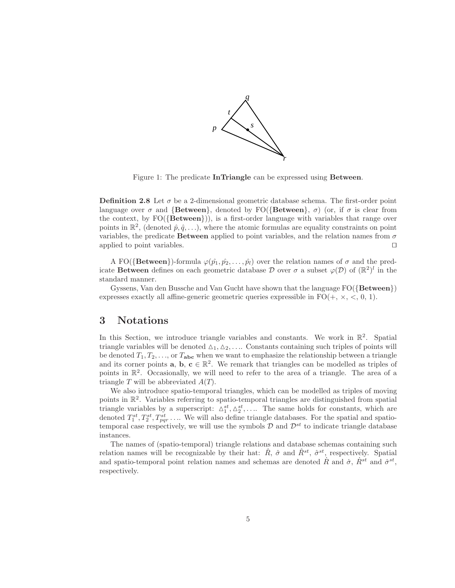

<span id="page-4-0"></span>Figure 1: The predicate InTriangle can be expressed using Between.

**Definition 2.8** Let  $\sigma$  be a 2-dimensional geometric database schema. The first-order point language over  $\sigma$  and {Between}, denoted by FO({Between},  $\sigma$ ) (or, if  $\sigma$  is clear from the context, by  $FO({\lbrace Between \rbrace})$ , is a first-order language with variables that range over points in  $\mathbb{R}^2$ , (denoted  $\hat{p}, \hat{q}, \ldots$ ), where the atomic formulas are equality constraints on point variables, the predicate Between applied to point variables, and the relation names from  $\sigma$ applied to point variables. ⊓⊔

A FO( $\{$ Between $\}$ )-formula  $\varphi(\hat{p}_1, \hat{p}_2, \ldots, \hat{p}_l)$  over the relation names of  $\sigma$  and the predicate Between defines on each geometric database  $\mathcal D$  over  $\sigma$  a subset  $\varphi(\mathcal D)$  of  $(\mathbb{R}^2)^l$  in the standard manner.

Gyssens, Van den Bussche and Van Gucht have shown that the language  $FO({Between})$ expresses exactly all affine-generic geometric queries expressible in  $FO(+, \times, <, 0, 1)$ .

### 3 Notations

In this Section, we introduce triangle variables and constants. We work in  $\mathbb{R}^2$ . Spatial triangle variables will be denoted  $\Delta_1, \Delta_2, \ldots$  Constants containing such triples of points will be denoted  $T_1, T_2, \ldots$ , or  $T_{abc}$  when we want to emphasize the relationship between a triangle and its corner points **a**, **b**,  $c \in \mathbb{R}^2$ . We remark that triangles can be modelled as triples of points in  $\mathbb{R}^2$ . Occasionally, we will need to refer to the area of a triangle. The area of a triangle T will be abbreviated  $A(T)$ .

We also introduce spatio-temporal triangles, which can be modelled as triples of moving points in R 2 . Variables referring to spatio-temporal triangles are distinguished from spatial triangle variables by a superscript:  $\Delta_1^{st}, \Delta_2^{st}, \ldots$ . The same holds for constants, which are denoted  $T_1^{st}, T_2^{st}, T_{pqr}^{st}, \ldots$  We will also define triangle databases. For the spatial and spatiotemporal case respectively, we will use the symbols  $\mathcal{D}$  and  $\mathcal{D}^{st}$  to indicate triangle database instances.

The names of (spatio-temporal) triangle relations and database schemas containing such relation names will be recognizable by their hat:  $\hat{R}$ ,  $\hat{\sigma}$  and  $\hat{R}^{st}$ ,  $\hat{\sigma}^{st}$ , respectively. Spatial and spatio-temporal point relation names and schemas are denoted R and  $\dot{\sigma}$ ,  $\dot{R}^{st}$  and  $\dot{\sigma}^{st}$ , respectively.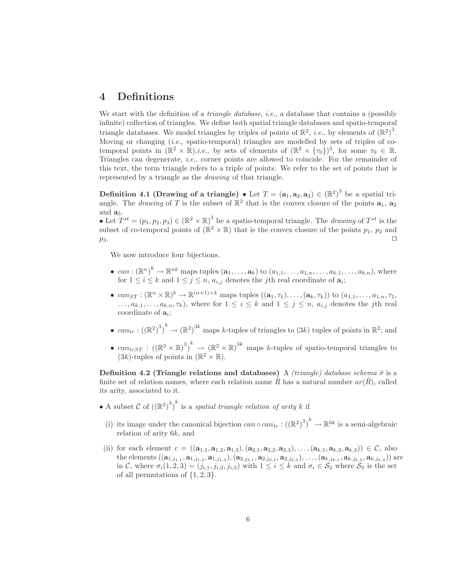## <span id="page-5-2"></span>4 Definitions

We start with the definition of a *triangle database*, *i.e.*, a database that contains a (possibly infinite) collection of triangles. We define both spatial triangle databases and spatio-temporal triangle databases. We model triangles by triples of points of  $\mathbb{R}^2$ , *i.e.*, by elements of  $(\mathbb{R}^2)^3$ . Moving or changing (*i.e.*, spatio-temporal) triangles are modelled by sets of triples of cotemporal points in  $(\mathbb{R}^2 \times \mathbb{R})$ ,*i.e.*, by sets of elements of  $(\mathbb{R}^2 \times {\tau_0})^3$ , for some  $\tau_0 \in \mathbb{R}$ . Triangles can degenerate, *i.e.*, corner points are allowed to coincide. For the remainder of this text, the term triangle refers to a triple of points. We refer to the set of points that is represented by a triangle as the *drawing* of that triangle.

<span id="page-5-1"></span>**Definition 4.1 (Drawing of a triangle)** • Let  $T = (\mathbf{a}_1, \mathbf{a}_2, \mathbf{a}_3) \in (\mathbb{R}^2)^3$  be a spatial triangle. The *drawing* of T is the subset of  $\mathbb{R}^2$  that is the convex closure of the points  $\mathbf{a}_1$ ,  $\mathbf{a}_2$ and  $\mathbf{a}_3$ .

• Let  $T^{st} = (p_1, p_2, p_3) \in (\mathbb{R}^2 \times \mathbb{R})^3$  be a spatio-temporal triangle. The *drawing* of  $T^{st}$  is the subset of co-temporal points of  $(\mathbb{R}^2 \times \mathbb{R})$  that is the convex closure of the points  $p_1, p_2$  and  $p_3$ .

We now introduce four bijections.

- $can: (\mathbb{R}^n)^k \to \mathbb{R}^{nk}$  maps tuples  $(\mathbf{a}_1, \ldots, \mathbf{a}_k)$  to  $(a_{1,1}, \ldots, a_{1,n}, \ldots, a_{k,1}, \ldots, a_{k,n})$ , where for  $1 \leq i \leq k$  and  $1 \leq j \leq n$ ,  $a_{i,j}$  denotes the *j*th real coordinate of  $a_i$ ;
- $can_{ST} : (\mathbb{R}^n \times \mathbb{R})^k \to \mathbb{R}^{(n+1) \times k}$  maps tuples  $((\mathbf{a}_1, \tau_1), \ldots, (\mathbf{a}_k, \tau_k))$  to  $(a_{1,1}, \ldots, a_{1,n}, \tau_1, \tau_2)$  $\ldots, a_{k,1}, \ldots, a_{k,n}, \tau_k$ , where for  $1 \leq i \leq k$  and  $1 \leq j \leq n$ ,  $a_{i,j}$  denotes the *j*th real coordinate of  $a_i$ ;
- $can_{tr}: ((\mathbb{R}^2)^3)^k \to (\mathbb{R}^2)^{3k}$  maps k-tuples of triangles to  $(3k)$  tuples of points in  $\mathbb{R}^2$ ; and
- $can$ <sub>trST</sub>:  $((\mathbb{R}^2 \times \mathbb{R})^3)^k \to (\mathbb{R}^2 \times \mathbb{R})^{3k}$  maps k-tuples of spatio-temporal triangles to  $(3k)$ -tuples of points in  $(\mathbb{R}^2 \times \mathbb{R})$ .

<span id="page-5-0"></span>Definition 4.2 (Triangle relations and databases) A *(triangle) database schema*  $\hat{\sigma}$  is a finite set of relation names, where each relation name R has a natural number  $ar(R)$ , called its arity, associated to it.

• A subset C of  $((\mathbb{R}^2)^3)^k$  is a *spatial triangle relation of arity* k if

- (i) its image under the canonical bijection  $can \circ can_{tr} : ((\mathbb{R}^2)^3)^k \to \mathbb{R}^{6k}$  is a semi-algebraic relation of arity 6k, and
- (ii) for each element  $c = ((a_{1,1}, a_{1,2}, a_{1,3}), (a_{2,1}, a_{2,2}, a_{2,3}), \ldots, (a_{k,1}, a_{k,2}, a_{k,3})) \in \mathcal{C}$ , also the elements  $((a_{1,j_{1,1}}, a_{1,j_{1,2}}, a_{1,j_{1,3}}), (a_{2,j_{2,1}}, a_{2,j_{2,2}}, a_{2,j_{2,3}}), \ldots, (a_{k,j_{k,1}}, a_{k,j_{k,2}}, a_{k,j_{k,3}}))$  are in C, where  $\sigma_i(1, 2, 3) = (j_{i,1}, j_{i,2}, j_{i,3})$  with  $1 \leq i \leq k$  and  $\sigma_i \in S_3$  where  $S_3$  is the set of all permutations of  $\{1, 2, 3\}$ .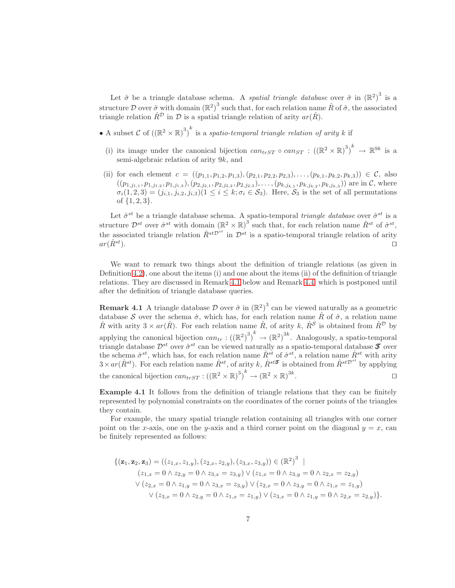Let  $\hat{\sigma}$  be a triangle database schema. A *spatial triangle database* over  $\hat{\sigma}$  in  $(\mathbb{R}^2)^3$  is a structure D over  $\hat{\sigma}$  with domain  $(\mathbb{R}^2)^3$  such that, for each relation name  $\hat{R}$  of  $\hat{\sigma}$ , the associated triangle relation  $\hat{R}^{\mathcal{D}}$  in  $\mathcal{D}$  is a spatial triangle relation of arity  $ar(\hat{R})$ .

- A subset C of  $((\mathbb{R}^2 \times \mathbb{R})^3)^k$  is a *spatio-temporal triangle relation of arity* k if
	- (i) its image under the canonical bijection  $can_{trST} \circ can_{ST} : ((\mathbb{R}^2 \times \mathbb{R})^3)^k \to \mathbb{R}^{9k}$  is a semi-algebraic relation of arity 9k, and
- (ii) for each element  $c = ((p_{1,1}, p_{1,2}, p_{1,3}), (p_{2,1}, p_{2,2}, p_{2,3}), \ldots, (p_{k,1}, p_{k,2}, p_{k,3})) \in \mathcal{C}$ , also  $((p_{1,j_{1,1}}, p_{1,j_{1,2}}, p_{1,j_{1,3}}), (p_{2,j_{2,1}}, p_{2,j_{2,2}}, p_{2,j_{2,3}}), \ldots, (p_{k,j_{k,1}}, p_{k,j_{k,2}}, p_{k,j_{k,3}}))$  are in C, where  $\sigma_i(1, 2, 3) = (j_{i,1}, j_{i,2}, j_{i,3}) \ (1 \leq i \leq k; \sigma_i \in S_3)$ . Here,  $S_3$  is the set of all permutations of  $\{1, 2, 3\}$ .

Let  $\hat{\sigma}^{st}$  be a triangle database schema. A spatio-temporal *triangle database* over  $\hat{\sigma}^{st}$  is a structure  $\mathcal{D}^{st}$  over  $\hat{\sigma}^{st}$  with domain  $(\mathbb{R}^2 \times \mathbb{R})^3$  such that, for each relation name  $\hat{R}^{st}$  of  $\hat{\sigma}^{st}$ , the associated triangle relation  $\hat{R}^{stD^{st}}$  in  $\mathcal{D}^{st}$  is a spatio-temporal triangle relation of arity  $ar(\hat{R}^{st})$ .  $□$ 

We want to remark two things about the definition of triangle relations (as given in Definition [4.2\)](#page-5-0), one about the items (i) and one about the items (ii) of the definition of triangle relations. They are discussed in Remark [4.1](#page-6-0) below and Remark [4.4,](#page-7-0) which is postponed until after the definition of triangle database queries.

<span id="page-6-0"></span>**Remark 4.1** A triangle database  $\mathcal{D}$  over  $\hat{\sigma}$  in  $(\mathbb{R}^2)^3$  can be viewed naturally as a geometric database S over the schema  $\dot{\sigma}$ , which has, for each relation name  $\hat{R}$  of  $\hat{\sigma}$ , a relation name R with arity  $3 \times ar(\hat{R})$ . For each relation name  $\hat{R}$ , of arity k,  $\hat{R}^S$  is obtained from  $\hat{R}^D$  by applying the canonical bijection  $can_{tr}: ((\mathbb{R}^2)^3)^k \to (\mathbb{R}^2)^{3k}$ . Analogously, a spatio-temporal triangle database  $\mathcal{D}^{st}$  over  $\hat{\sigma}^{st}$  can be viewed naturally as a spatio-temporal database  $\mathcal T$  over the schema  $\dot{\sigma}^{st}$ , which has, for each relation name  $\hat{R}^{st}$  of  $\hat{\sigma}^{st}$ , a relation name  $\dot{R}^{st}$  with arity  $3 \times ar(\hat{R}^{st})$ . For each relation name  $\hat{R}^{st}$ , of arity k,  $\hat{R}^{st\mathcal{F}}$  is obtained from  $\hat{R}^{st\mathcal{D}^{st}}$  by applying the canonical bijection  $can_{trST}$  :  $((\mathbb{R}^2 \times \mathbb{R})^3)^k \to (\mathbb{R}^2 \times \mathbb{R})^{3k}$ . ⊓⊔

<span id="page-6-1"></span>Example 4.1 It follows from the definition of triangle relations that they can be finitely represented by polynomial constraints on the coordinates of the corner points of the triangles they contain.

For example, the unary spatial triangle relation containing all triangles with one corner point on the x-axis, one on the y-axis and a third corner point on the diagonal  $y = x$ , can be finitely represented as follows:

$$
\{(\mathbf{z}_1, \mathbf{z}_2, \mathbf{z}_3) = ((z_{1,x}, z_{1,y}), (z_{2,x}, z_{2,y}), (z_{3,x}, z_{3,y})) \in (\mathbb{R}^2)^3 \mid
$$
  
\n
$$
(z_{1,x} = 0 \land z_{2,y} = 0 \land z_{3,x} = z_{3,y}) \lor (z_{1,x} = 0 \land z_{3,y} = 0 \land z_{2,x} = z_{2,y})
$$
  
\n
$$
\lor (z_{2,x} = 0 \land z_{1,y} = 0 \land z_{3,x} = z_{3,y}) \lor (z_{2,x} = 0 \land z_{3,y} = 0 \land z_{1,x} = z_{1,y})
$$
  
\n
$$
\lor (z_{3,x} = 0 \land z_{2,y} = 0 \land z_{1,x} = z_{1,y}) \lor (z_{3,x} = 0 \land z_{1,y} = 0 \land z_{2,x} = z_{2,y})\}.
$$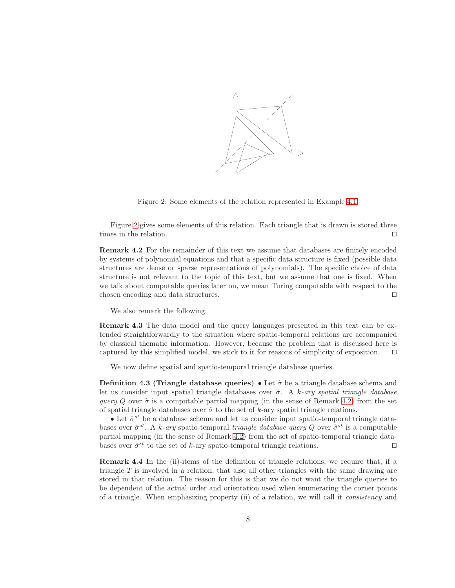

<span id="page-7-1"></span>Figure 2: Some elements of the relation represented in Example [4.1.](#page-6-1)

Figure [2](#page-7-1) gives some elements of this relation. Each triangle that is drawn is stored three times in the relation. □

<span id="page-7-2"></span>Remark 4.2 For the remainder of this text we assume that databases are finitely encoded by systems of polynomial equations and that a specific data structure is fixed (possible data structures are dense or sparse representations of polynomials). The specific choice of data structure is not relevant to the topic of this text, but we assume that one is fixed. When we talk about computable queries later on, we mean Turing computable with respect to the chosen encoding and data structures. ⊓⊔

We also remark the following.

Remark 4.3 The data model and the query languages presented in this text can be extended straightforwardly to the situation where spatio-temporal relations are accompanied by classical thematic information. However, because the problem that is discussed here is captured by this simplified model, we stick to it for reasons of simplicity of exposition. ⊓⊔

We now define spatial and spatio-temporal triangle database queries.

**Definition 4.3 (Triangle database queries)** • Let  $\hat{\sigma}$  be a triangle database schema and let us consider input spatial triangle databases over ˆσ. A k*-ary spatial triangle database query* Q over  $\hat{\sigma}$  is a computable partial mapping (in the sense of Remark [4.2\)](#page-7-2) from the set of spatial triangle databases over  $\hat{\sigma}$  to the set of k-ary spatial triangle relations.

• Let  $\hat{\sigma}^{st}$  be a database schema and let us consider input spatio-temporal triangle databases over  $\hat{\sigma}^{st}$ . A k-ary spatio-temporal *triangle database query* Q over  $\hat{\sigma}^{st}$  is a computable partial mapping (in the sense of Remark [4.2\)](#page-7-2) from the set of spatio-temporal triangle databases over  $\hat{\sigma}^{st}$  to the set of k-ary spatio-temporal triangle relations. □

<span id="page-7-0"></span>Remark 4.4 In the (ii)-items of the definition of triangle relations, we require that, if a triangle  $T$  is involved in a relation, that also all other triangles with the same drawing are stored in that relation. The reason for this is that we do not want the triangle queries to be dependent of the actual order and orientation used when enumerating the corner points of a triangle. When emphasizing property (ii) of a relation, we will call it *consistency* and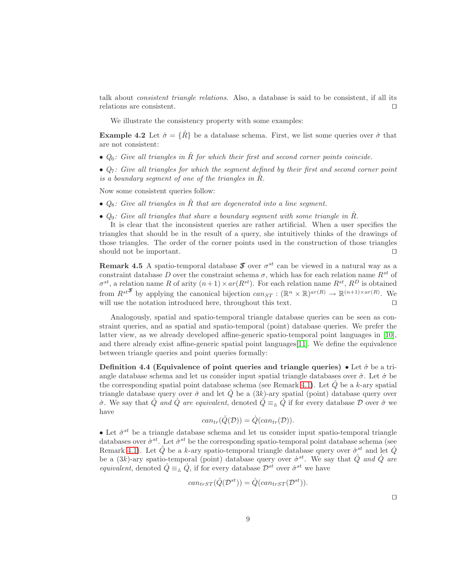talk about *consistent triangle relations*. Also, a database is said to be consistent, if all its relations are consistent. ⊓⊔

We illustrate the consistency property with some examples:

**Example 4.2** Let  $\hat{\sigma} = {\hat{R}}$  be a database schema. First, we list some queries over  $\hat{\sigma}$  that are not consistent:

- $Q_6$ : Give all triangles in  $\hat{R}$  for which their first and second corner points coincide.
- *Q*7*: Give all triangles for which the segment defined by their first and second corner point is a boundary segment of one of the triangles in*  $\hat{R}$ *.*

Now some consistent queries follow:

- $Q_8$ : Give all triangles in  $\hat{R}$  that are degenerated into a line segment.
- $Q_9$ : Give all triangles that share a boundary segment with some triangle in  $\hat{R}$ .

It is clear that the inconsistent queries are rather artificial. When a user specifies the triangles that should be in the result of a query, she intuitively thinks of the drawings of those triangles. The order of the corner points used in the construction of those triangles should not be important.  $□$ 

**Remark 4.5** A spatio-temporal database  $\mathcal{T}$  over  $\sigma^{st}$  can be viewed in a natural way as a constraint database D over the constraint schema  $\sigma$ , which has for each relation name  $R^{st}$  of  $\sigma^{st}$ , a relation name R of arity  $(n+1) \times ar(R^{st})$ . For each relation name  $R^{st}$ ,  $R^{D}$  is obtained from  $R^{st^T}$  by applying the canonical bijection  $can_{ST} : (\mathbb{R}^n \times \mathbb{R})^{ar(R)} \to \mathbb{R}^{(n+1)\times ar(R)}$ . We will use the notation introduced here, throughout this text. □

Analogously, spatial and spatio-temporal triangle database queries can be seen as constraint queries, and as spatial and spatio-temporal (point) database queries. We prefer the latter view, as we already developed affine-generic spatio-temporal point languages in [\[10\]](#page-41-1), and there already exist affine-generic spatial point languages  $[11]$ . We define the equivalence between triangle queries and point queries formally:

<span id="page-8-0"></span>Definition 4.4 (Equivalence of point queries and triangle queries) • Let  $\hat{\sigma}$  be a triangle database schema and let us consider input spatial triangle databases over  $\hat{\sigma}$ . Let  $\dot{\sigma}$  be the corresponding spatial point database schema (see Remark [4.1\)](#page-6-0). Let  $\tilde{Q}$  be a k-ary spatial triangle database query over  $\hat{\sigma}$  and let Q be a  $(3k)$ -ary spatial (point) database query over  $\dot{\sigma}$ . We say that  $\hat{Q}$  *and*  $\dot{Q}$  *are equivalent*, denoted  $\hat{Q} \equiv_{\Delta} \dot{Q}$  if for every database  $D$  over  $\hat{\sigma}$  we have

$$
can_{tr}(\hat{Q}(\mathcal{D})) = \dot{Q}(can_{tr}(\mathcal{D})).
$$

• Let  $\hat{\sigma}^{st}$  be a triangle database schema and let us consider input spatio-temporal triangle databases over  $\hat{\sigma}^{st}$ . Let  $\dot{\sigma}^{st}$  be the corresponding spatio-temporal point database schema (see Remark [4.1\)](#page-6-0). Let  $\hat{Q}$  be a k-ary spatio-temporal triangle database query over  $\hat{\sigma}^{st}$  and let  $\hat{Q}$ be a  $(3k)$ -ary spatio-temporal (point) database query over  $\dot{\sigma}^{st}$ . We say that  $\hat{Q}$  *and*  $\dot{Q}$  *are equivalent*, denoted  $\hat{Q} \equiv_{\Delta} \hat{Q}$ , if for every database  $\mathcal{D}^{st}$  over  $\hat{\sigma}^{st}$  we have

$$
can_{trST}(\hat{Q}(\mathcal{D}^{st})) = \dot{Q}(can_{trST}(\mathcal{D}^{st})).
$$

⊓⊔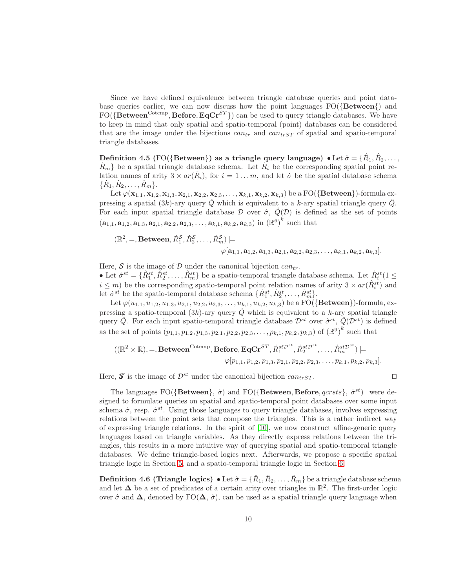Since we have defined equivalence between triangle database queries and point database queries earlier, we can now discuss how the point languages  $FO({Between})$  and  $FO({\bf Between^{Cotemp}, \bf Before, EqCr^{ST}})$  can be used to query triangle databases. We have to keep in mind that only spatial and spatio-temporal (point) databases can be considered that are the image under the bijections  $can<sub>tr</sub>$  and  $can<sub>trST</sub>$  of spatial and spatio-temporal triangle databases.

<span id="page-9-0"></span>Definition 4.5 (FO({Between}) as a triangle query language)  $\bullet$  Let  $\hat{\sigma} = \{\hat{R}_1, \hat{R}_2, \ldots,$  $\hat{R}_m$ } be a spatial triangle database schema. Let  $\hat{R}_i$  be the corresponding spatial point relation names of arity  $3 \times ar(\hat{R}_i)$ , for  $i = 1 ... m$ , and let  $\dot{\sigma}$  be the spatial database schema  $\{\dot{R}_1, \dot{R}_2, \ldots, \dot{R}_m\}.$ 

Let  $\varphi(\mathbf{x}_{1,1}, \mathbf{x}_{1,2}, \mathbf{x}_{1,3}, \mathbf{x}_{2,1}, \mathbf{x}_{2,2}, \mathbf{x}_{2,3}, \ldots, \mathbf{x}_{k,1}, \mathbf{x}_{k,2}, \mathbf{x}_{k,3})$  be a FO({Between})-formula expressing a spatial  $(3k)$ -ary query  $\dot{Q}$  which is equivalent to a k-ary spatial triangle query  $\dot{Q}$ . For each input spatial triangle database  $\mathcal D$  over  $\hat \sigma$ ,  $\hat Q(\mathcal D)$  is defined as the set of points  $(a_{1,1}, a_{1,2}, a_{1,3}, a_{2,1}, a_{2,2}, a_{2,3}, \ldots, a_{k,1}, a_{k,2}, a_{k,3})$  in  $(\mathbb{R}^6)^k$  such that

$$
(\mathbb{R}^2, =, \text{Between}, \dot{R}_1^S, \dot{R}_2^S, \dots, \dot{R}_m^S) \models
$$
  
\n $\varphi[\mathbf{a}_{1,1}, \mathbf{a}_{1,2}, \mathbf{a}_{1,3}, \mathbf{a}_{2,1}, \mathbf{a}_{2,2}, \mathbf{a}_{2,3}, \dots, \mathbf{a}_{k,1}, \mathbf{a}_{k,2}, \mathbf{a}_{k,3}].$ 

Here,  $S$  is the image of  $D$  under the canonical bijection  $can_{tr}$ . • Let  $\hat{\sigma}^{st} = \{\hat{R}_1^{st}, \hat{R}_2^{st}, \dots, \hat{R}_m^{st}\}\$ be a spatio-temporal triangle database schema. Let  $\hat{R}_i^{st}$  $(1 \leq$  $i \leq m$ ) be the corresponding spatio-temporal point relation names of arity  $3 \times ar(\hat{R}^{st}_i)$  and let  $\dot{\sigma}^{st}$  be the spatio-temporal database schema  $\{\dot{R}_1^{st}, \dot{R}_2^{st}, \dots, \dot{R}_m^{st}\}.$ 

Let  $\varphi(u_{1,1}, u_{1,2}, u_{1,3}, u_{2,1}, u_{2,2}, u_{2,3}, \ldots, u_{k,1}, u_{k,2}, u_{k,3})$  be a FO({**Between**})-formula, expressing a spatio-temporal  $(3k)$ -ary query  $\dot{Q}$  which is equivalent to a k-ary spatial triangle query  $\hat{Q}$ . For each input spatio-temporal triangle database  $\mathcal{D}^{st}$  over  $\hat{\sigma}^{st}$ ,  $\hat{Q}(\mathcal{D}^{st})$  is defined as the set of points  $(p_{1,1}, p_{1,2}, p_{1,3}, p_{2,1}, p_{2,2}, p_{2,3}, \ldots, p_{k,1}, p_{k,2}, p_{k,3})$  of  $(\mathbb{R}^9)^k$  such that

$$
((\mathbb{R}^2 \times \mathbb{R}), =, \text{Between}^{\text{Cotemp}}, \text{Before}, \text{EqCr}^{ST}, \dot{R}_1^{st\mathcal{D}^{st}}, \dot{R}_2^{st\mathcal{D}^{st}}, \dots, \dot{R}_m^{st\mathcal{D}^{st}}) \models
$$

$$
\varphi[p_{1,1}, p_{1,2}, p_{1,3}, p_{2,1}, p_{2,2}, p_{2,3}, \dots, p_{k,1}, p_{k,2}, p_{k,3}].
$$

Here, **S** is the image of  $\mathcal{D}^{st}$  under the canonical bijection can<sub>trST</sub>. □

The languages FO({Between},  $\dot{\sigma}$ ) and FO({Between, Before, qcrsts},  $\dot{\sigma}^{st}$ ) were designed to formulate queries on spatial and spatio-temporal point databases over some input schema  $\dot{\sigma}$ , resp.  $\dot{\sigma}^{st}$ . Using those languages to query triangle databases, involves expressing relations between the point sets that compose the triangles. This is a rather indirect way of expressing triangle relations. In the spirit of [\[10\]](#page-41-1), we now construct affine-generic query languages based on triangle variables. As they directly express relations between the triangles, this results in a more intuitive way of querying spatial and spatio-temporal triangle databases. We define triangle-based logics next. Afterwards, we propose a specific spatial triangle logic in Section [5,](#page-10-0) and a spatio-temporal triangle logic in Section [6.](#page-26-0)

**Definition 4.6 (Triangle logics)**  $\bullet$  Let  $\hat{\sigma} = \{\hat{R}_1, \hat{R}_2, \ldots, \hat{R}_m\}$  be a triangle database schema and let  $\Delta$  be a set of predicates of a certain arity over triangles in  $\mathbb{R}^2$ . The first-order logic over  $\hat{\sigma}$  and  $\Delta$ , denoted by FO( $\Delta$ ,  $\hat{\sigma}$ ), can be used as a spatial triangle query language when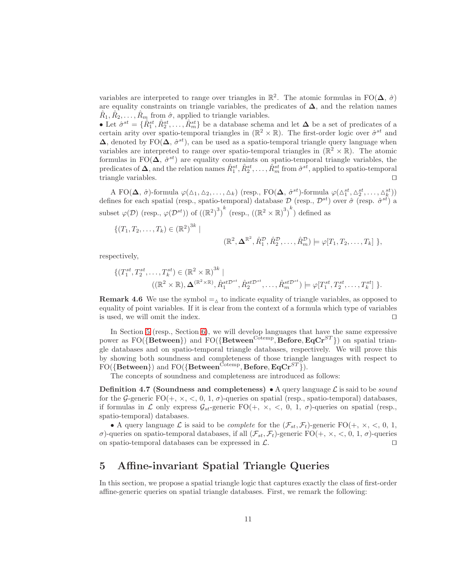variables are interpreted to range over triangles in  $\mathbb{R}^2$ . The atomic formulas in FO( $\Delta$ ,  $\hat{\sigma}$ ) are equality constraints on triangle variables, the predicates of  $\Delta$ , and the relation names  $\hat{R}_1, \hat{R}_2, \ldots, \hat{R}_m$  from  $\hat{\sigma}$ , applied to triangle variables.

• Let  $\hat{\sigma}^{st} = \{\hat{R}_{1}^{st}, \hat{R}_{2}^{st}, \ldots, \hat{R}_{m}^{st}\}$  be a database schema and let  $\Delta$  be a set of predicates of a certain arity over spatio-temporal triangles in  $(\mathbb{R}^2 \times \mathbb{R})$ . The first-order logic over  $\hat{\sigma}^{st}$  and  $\Delta$ , denoted by FO( $\Delta$ ,  $\hat{\sigma}^{st}$ ), can be used as a spatio-temporal triangle query language when variables are interpreted to range over spatio-temporal triangles in  $(\mathbb{R}^2 \times \mathbb{R})$ . The atomic formulas in FO( $\Delta$ ,  $\hat{\sigma}^{st}$ ) are equality constraints on spatio-temporal triangle variables, the predicates of  $\Delta$ , and the relation names  $\hat{R}_1^{st}, \hat{R}_2^{st}, \ldots, \hat{R}_m^{st}$  from  $\hat{\sigma}^{st}$ , applied to spatio-temporal triangle variables. ⊓⊔

A FO( $\Delta$ ,  $\hat{\sigma}$ )-formula  $\varphi(\Delta_1, \Delta_2, \ldots, \Delta_k)$  (resp., FO( $\Delta$ ,  $\hat{\sigma}^{st}$ )-formula  $\varphi(\Delta_1^{st}, \Delta_2^{st}, \ldots, \Delta_k^{st})$ ) defines for each spatial (resp., spatio-temporal) database  $\mathcal{D}$  (resp.,  $\mathcal{D}^{st}$ ) over  $\hat{\sigma}$  (resp.  $\hat{\sigma}^{st}$ ) a subset  $\varphi(\mathcal{D})$  (resp.,  $\varphi(\mathcal{D}^{st})$ ) of  $((\mathbb{R}^2)^3)^k$  (resp.,  $((\mathbb{R}^2 \times \mathbb{R})^3)^k$ ) defined as

$$
\{(T_1, T_2, \ldots, T_k) \in (\mathbb{R}^2)^{3k} |
$$

$$
(\mathbb{R}^2, \Delta \mathbb{R}^2, \hat{R}_1^{\mathcal{D}}, \hat{R}_2^{\mathcal{D}}, \ldots, \hat{R}_m^{\mathcal{D}}) \models \varphi[T_1, T_2, \ldots, T_k] \},
$$

respectively,

$$
\{(T_1^{st}, T_2^{st}, \dots, T_k^{st}) \in (\mathbb{R}^2 \times \mathbb{R})^{3k} \mid ((\mathbb{R}^2 \times \mathbb{R}), \Delta^{(\mathbb{R}^2 \times \mathbb{R})}, \hat{R}_1^{st\mathcal{D}^{st}}, \hat{R}_2^{st\mathcal{D}^{st}}, \dots, \hat{R}_m^{st\mathcal{D}^{st}}) \models \varphi[T_1^{st}, T_2^{st}, \dots, T_k^{st}]\}.
$$

**Remark 4.6** We use the symbol  $=_{\Delta}$  to indicate equality of triangle variables, as opposed to equality of point variables. If it is clear from the context of a formula which type of variables is used, we will omit the index. ⊓⊔

In Section [5](#page-10-0) (resp., Section [6\)](#page-26-0), we will develop languages that have the same expressive power as  $FO({\lbrace Between \rbrace})$  and  $FO({\lbrace Between^{Cotemp}, Before, EqCr^{ST} \rbrace})$  on spatial triangle databases and on spatio-temporal triangle databases, respectively. We will prove this by showing both soundness and completeness of those triangle languages with respect to  $FO(\{\textbf{Between}\})$  and  $FO(\{\textbf{Between}^{\text{Cotemp}}, \textbf{Before}, \textbf{EqCr}^{ST}\}).$ 

The concepts of soundness and completeness are introduced as follows:

**Definition 4.7 (Soundness and completeness)** • A query language  $\mathcal{L}$  is said to be *sound* for the G-generic  $FO(+, \times, <, 0, 1, \sigma)$ -queries on spatial (resp., spatio-temporal) databases, if formulas in L only express  $\mathcal{G}_{st}$ -generic FO(+,  $\times$ ,  $\lt$ , 0, 1,  $\sigma$ )-queries on spatial (resp., spatio-temporal) databases.

• A query language L is said to be *complete* for the  $(\mathcal{F}_{st}, \mathcal{F}_t)$ -generic FO(+, x, <, 0, 1, σ)-queries on spatio-temporal databases, if all  $(\mathcal{F}_{st}, \mathcal{F}_t)$ -generic FO(+, ×, <, 0, 1, σ)-queries on spatio-temporal databases can be expressed in  $\mathcal{L}$ .

## <span id="page-10-0"></span>5 Affine-invariant Spatial Triangle Queries

In this section, we propose a spatial triangle logic that captures exactly the class of first-order affine-generic queries on spatial triangle databases. First, we remark the following: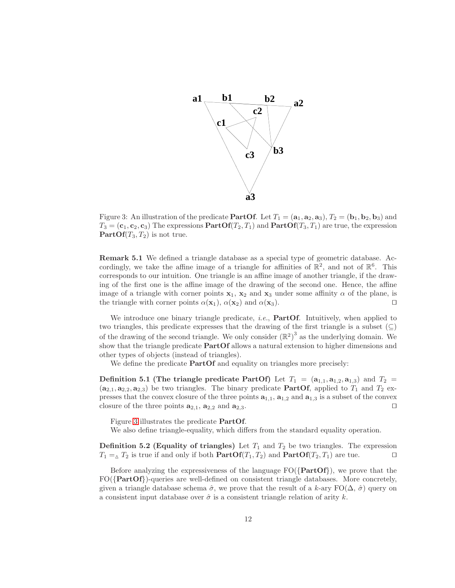

<span id="page-11-0"></span>Figure 3: An illustration of the predicate **PartOf.** Let  $T_1 = (\mathbf{a}_1, \mathbf{a}_2, \mathbf{a}_3), T_2 = (\mathbf{b}_1, \mathbf{b}_2, \mathbf{b}_3)$  and  $T_3 = (c_1, c_2, c_3)$  The expressions  $\text{PartOf}(T_2, T_1)$  and  $\text{PartOf}(T_3, T_1)$  are true, the expression **PartOf** $(T_3, T_2)$  is not true.

Remark 5.1 We defined a triangle database as a special type of geometric database. Accordingly, we take the affine image of a triangle for affinities of  $\mathbb{R}^2$ , and not of  $\mathbb{R}^6$ . This corresponds to our intuition. One triangle is an affine image of another triangle, if the drawing of the first one is the affine image of the drawing of the second one. Hence, the affine image of a triangle with corner points  $x_1$ ,  $x_2$  and  $x_3$  under some affinity  $\alpha$  of the plane, is the triangle with corner points  $\alpha(\mathbf{x}_1)$ ,  $\alpha(\mathbf{x}_2)$  and  $\alpha(\mathbf{x}_3)$ . □

We introduce one binary triangle predicate, *i.e.*, **PartOf**. Intuitively, when applied to two triangles, this predicate expresses that the drawing of the first triangle is a subset  $(\subseteq)$ of the drawing of the second triangle. We only consider  $(\mathbb{R}^2)^3$  as the underlying domain. We show that the triangle predicate PartOf allows a natural extension to higher dimensions and other types of objects (instead of triangles).

<span id="page-11-2"></span>We define the predicate **PartOf** and equality on triangles more precisely:

Definition 5.1 (The triangle predicate PartOf) Let  $T_1 = (a_{1,1}, a_{1,2}, a_{1,3})$  and  $T_2 =$  $(a_{2,1}, a_{2,2}, a_{2,3})$  be two triangles. The binary predicate **PartOf**, applied to  $T_1$  and  $T_2$  expresses that the convex closure of the three points  $a_{1,1}$ ,  $a_{1,2}$  and  $a_{1,3}$  is a subset of the convex closure of the three points  $\mathbf{a}_{2,1}, \mathbf{a}_{2,2}$  and  $\mathbf{a}_{2,3}$ . □

Figure [3](#page-11-0) illustrates the predicate PartOf.

<span id="page-11-1"></span>We also define triangle-equality, which differs from the standard equality operation.

**Definition 5.2 (Equality of triangles)** Let  $T_1$  and  $T_2$  be two triangles. The expression  $T_1 = \Delta T_2$  is true if and only if both  $\text{PartOf}(T_1, T_2)$  and  $\text{PartOf}(T_2, T_1)$  are tue. □

Before analyzing the expressiveness of the language  $FO({\text{PartOf}})$ , we prove that the  $FO({\text{PartOf}})$ -queries are well-defined on consistent triangle databases. More concretely, given a triangle database schema  $\hat{\sigma}$ , we prove that the result of a k-ary  $\text{FO}(\Delta, \hat{\sigma})$  query on a consistent input database over  $\hat{\sigma}$  is a consistent triangle relation of arity k.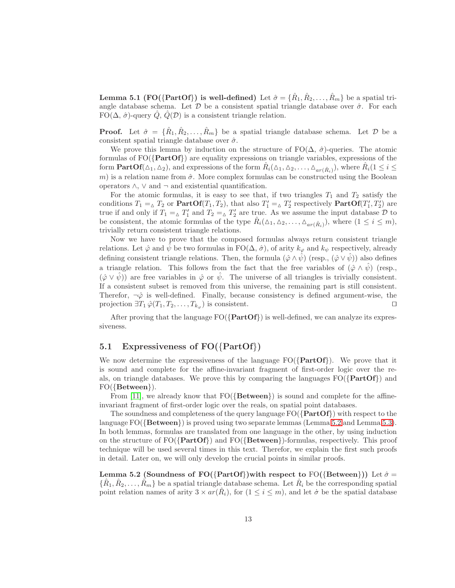**Lemma 5.1 (FO({PartOf}) is well-defined)** Let  $\hat{\sigma} = {\hat{R}_1, \hat{R}_2, \dots, \hat{R}_m}$  be a spatial triangle database schema. Let  $\mathcal D$  be a consistent spatial triangle database over  $\hat \sigma$ . For each FO( $\Delta$ ,  $\hat{\sigma}$ )-query Q, Q( $\mathcal{D}$ ) is a consistent triangle relation.

**Proof.** Let  $\hat{\sigma} = {\hat{R}_1, \hat{R}_2, \ldots, \hat{R}_m}$  be a spatial triangle database schema. Let  $\mathcal{D}$  be a consistent spatial triangle database over  $\hat{\sigma}$ .

We prove this lemma by induction on the structure of  $FO(\Delta, \hat{\sigma})$ -queries. The atomic formulas of  $FO({\text{PartOf}})$  are equality expressions on triangle variables, expressions of the form  $\mathbf{PartOf}(\Delta_1, \Delta_2)$ , and expressions of the form  $\hat{R}_i(\Delta_1, \Delta_2, \ldots, \Delta_{ar(\hat{R}_i)})$ , where  $\hat{R}_i(1 \leq i \leq n)$ m) is a relation name from  $\hat{\sigma}$ . More complex formulas can be constructed using the Boolean operators  $\wedge$ ,  $\vee$  and  $\neg$  and existential quantification.

For the atomic formulas, it is easy to see that, if two triangles  $T_1$  and  $T_2$  satisfy the conditions  $T_1 = \Delta T_2$  or  $\textbf{PartOf}(T_1, T_2)$ , that also  $T_1' = \Delta T_2'$  respectively  $\textbf{PartOf}(T_1', T_2')$  are true if and only if  $T_1 = \Delta T_1'$  and  $T_2 = \Delta T_2'$  are true. As we assume the input database  $\mathcal D$  to be consistent, the atomic formulas of the type  $\hat{R}_i(\Delta_1, \Delta_2, \ldots, \Delta_{ar(\hat{R}_i)})$ , where  $(1 \leq i \leq m)$ , trivially return consistent triangle relations.

Now we have to prove that the composed formulas always return consistent triangle relations. Let  $\hat{\varphi}$  and  $\hat{\psi}$  be two formulas in FO( $\Delta$ ,  $\hat{\sigma}$ ), of arity  $k_{\varphi}$  and  $k_{\psi}$  respectively, already defining consistent triangle relations. Then, the formula  $(\hat{\varphi} \wedge \hat{\psi})$  (resp.,  $(\hat{\varphi} \vee \hat{\psi})$ ) also defines a triangle relation. This follows from the fact that the free variables of  $(\hat{\varphi} \wedge \hat{\psi})$  (resp.,  $(\hat{\varphi} \vee \hat{\psi})$  are free variables in  $\hat{\varphi}$  or  $\hat{\psi}$ . The universe of all triangles is trivially consistent. If a consistent subset is removed from this universe, the remaining part is still consistent. Therefor,  $\neg \hat{\varphi}$  is well-defined. Finally, because consistency is defined argument-wise, the projection  $\exists T_1 \hat{\varphi}(T_1, T_2, \ldots, T_{k_{\varphi}})$  is consistent.  $\Box$ 

After proving that the language  $FO({\{PartOf\}})$  is well-defined, we can analyze its expressiveness.

### 5.1 Expressiveness of  $FO({\{PartOf\}})$

We now determine the expressiveness of the language  $FO({\text{PartOf}})$ . We prove that it is sound and complete for the affine-invariant fragment of first-order logic over the reals, on triangle databases. We prove this by comparing the languages  $FO({\text{PartOf}})$  and  $FO({\{Between}\})$ .

From [\[11\]](#page-41-2), we already know that  $FO({\lbrace Between \rbrace})$  is sound and complete for the affineinvariant fragment of first-order logic over the reals, on spatial point databases.

The soundness and completeness of the query language  $FO({\{PartOf\}})$  with respect to the language  $FO({Between})$  is proved using two separate lemmas (Lemma [5.2](#page-12-0) and Lemma [5.3\)](#page-15-0). In both lemmas, formulas are translated from one language in the other, by using induction on the structure of  $FO({\text{PartOf}})$  and  $FO({\text{Between}})$ -formulas, respectively. This proof technique will be used several times in this text. Therefor, we explain the first such proofs in detail. Later on, we will only develop the crucial points in similar proofs.

<span id="page-12-0"></span>Lemma 5.2 (Soundness of FO({PartOf})with respect to FO({Between})) Let  $\hat{\sigma} =$  $\{\hat{R}_1, \hat{R}_2, \ldots, \hat{R}_m\}$  be a spatial triangle database schema. Let  $\hat{R}_i$  be the corresponding spatial point relation names of arity  $3 \times ar(\hat{R}_i)$ , for  $(1 \leq i \leq m)$ , and let  $\sigma$  be the spatial database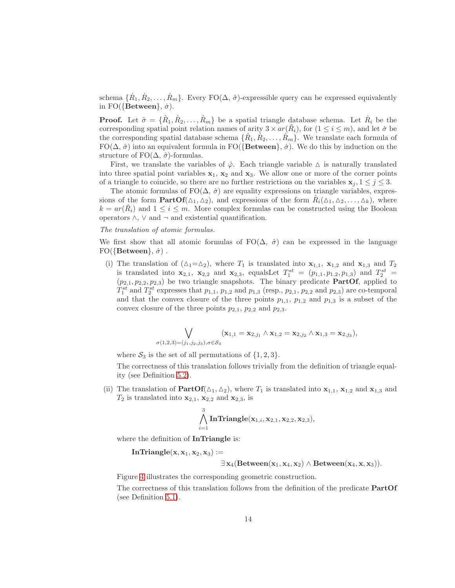schema  $\{\dot{R}_1, \dot{R}_2, \ldots, \dot{R}_m\}$ . Every FO( $\Delta$ ,  $\hat{\sigma}$ )-expressible query can be expressed equivalently in FO({Between},  $\dot{\sigma}$ ).

**Proof.** Let  $\hat{\sigma} = \{\hat{R}_1, \hat{R}_2, \ldots, \hat{R}_m\}$  be a spatial triangle database schema. Let  $\hat{R}_i$  be the corresponding spatial point relation names of arity  $3 \times ar(\hat{R}_i)$ , for  $(1 \leq i \leq m)$ , and let  $\dot{\sigma}$  be the corresponding spatial database schema  $\{\dot{R}_1, \dot{R}_2, \ldots, \dot{R}_m\}$ . We translate each formula of  $FO(\Delta, \hat{\sigma})$  into an equivalent formula in  $FO({\lbrace Between \rbrace}, \hat{\sigma})$ . We do this by induction on the structure of FO $(\Delta, \hat{\sigma})$ -formulas.

First, we translate the variables of  $\hat{\varphi}$ . Each triangle variable  $\Delta$  is naturally translated into three spatial point variables  $x_1, x_2$  and  $x_3$ . We allow one or more of the corner points of a triangle to coincide, so there are no further restrictions on the variables  $x_j$ ,  $1 \leq j \leq 3$ .

The atomic formulas of  $FO(\Delta, \hat{\sigma})$  are equality expressions on triangle variables, expressions of the form  $PartOf(\Delta_1, \Delta_2)$ , and expressions of the form  $\hat{R}_i(\Delta_1, \Delta_2, \ldots, \Delta_k)$ , where  $k = ar(\hat{R}_i)$  and  $1 \leq i \leq m$ . More complex formulas can be constructed using the Boolean operators  $\land$ ,  $\lor$  and  $\neg$  and existential quantification.

#### *The translation of atomic formulas.*

We first show that all atomic formulas of  $FO(\Delta, \hat{\sigma})$  can be expressed in the language  $FO({\{\text{Between}\}, \dot{\sigma})}$ .

(i) The translation of  $(\Delta_1=\Delta_2)$ , where  $T_1$  is translated into  $\mathbf{x}_{1,1}$ ,  $\mathbf{x}_{1,2}$  and  $\mathbf{x}_{1,3}$  and  $T_2$ is translated into  $x_{2,1}$ ,  $x_{2,2}$  and  $x_{2,3}$ , equalsLet  $T_1^{st} = (p_{1,1}, p_{1,2}, p_{1,3})$  and  $T_2^{st} =$  $(p_{2,1}, p_{2,2}, p_{2,3})$  be two triangle snapshots. The binary predicate **PartOf**, applied to  $T_1^{st}$  and  $T_2^{st}$  expresses that  $p_{1,1}$ ,  $p_{1,2}$  and  $p_{1,3}$  (resp.,  $p_{2,1}$ ,  $p_{2,2}$  and  $p_{2,3}$ ) are co-temporal and that the convex closure of the three points  $p_{1,1}$ ,  $p_{1,2}$  and  $p_{1,3}$  is a subset of the convex closure of the three points  $p_{2,1}$ ,  $p_{2,2}$  and  $p_{2,3}$ .

$$
\bigvee_{\sigma(1,2,3)=(j_1,j_2,j_3), \sigma \in \mathcal{S}_3} (\mathbf{x}_{1,1} = \mathbf{x}_{2,j_1} \wedge \mathbf{x}_{1,2} = \mathbf{x}_{2,j_2} \wedge \mathbf{x}_{1,3} = \mathbf{x}_{2,j_3}),
$$

where  $S_3$  is the set of all permutations of  $\{1,2,3\}.$ 

The correctness of this translation follows trivially from the definition of triangle equality (see Definition [5.2\)](#page-11-1).

(ii) The translation of  $PartOf(\Delta_1, \Delta_2)$ , where  $T_1$  is translated into  $\mathbf{x}_{1,1}$ ,  $\mathbf{x}_{1,2}$  and  $\mathbf{x}_{1,3}$  and  $T_2$  is translated into  $\mathbf{x}_{2,1}$ ,  $\mathbf{x}_{2,2}$  and  $\mathbf{x}_{2,3}$ , is

$$
\bigwedge_{i=1}^3 \text{InTriangle}(\mathbf{x}_{1,i},\mathbf{x}_{2,1},\mathbf{x}_{2,2},\mathbf{x}_{2,3}),
$$

where the definition of InTriangle is:

 $InTriangle(x, x_1, x_2, x_3) :=$ 

 $\exists x_4(Between(x_1, x_4, x_2) \wedge Between(x_4, x, x_3)).$ 

Figure [4](#page-14-0) illustrates the corresponding geometric construction.

The correctness of this translation follows from the definition of the predicate PartOf (see Definition [5.1\)](#page-11-2).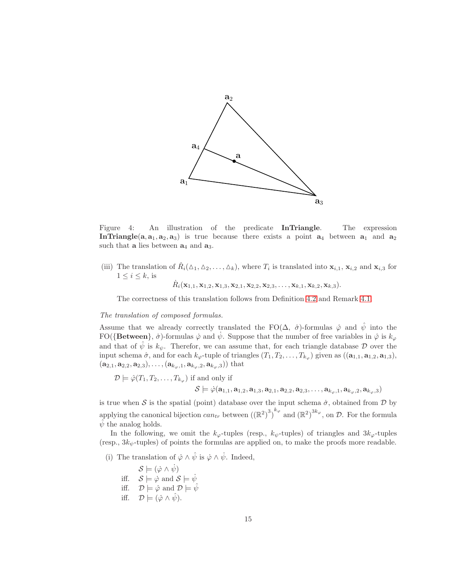

<span id="page-14-0"></span>Figure 4: An illustration of the predicate InTriangle. The expression In Triangle( $a, a_1, a_2, a_3$ ) is true because there exists a point  $a_4$  between  $a_1$  and  $a_2$ such that **a** lies between  $a_4$  and  $a_3$ .

(iii) The translation of  $\hat{R}_i(\Delta_1, \Delta_2, \ldots, \Delta_k)$ , where  $T_i$  is translated into  $\mathbf{x}_{i,1}$ ,  $\mathbf{x}_{i,2}$  and  $\mathbf{x}_{i,3}$  for  $1 \leq i \leq k$ , is

 $\dot{R}_i(\mathbf{x}_{1,1}, \mathbf{x}_{1,2}, \mathbf{x}_{1,3}, \mathbf{x}_{2,1}, \mathbf{x}_{2,2}, \mathbf{x}_{2,3}, \ldots, \mathbf{x}_{k,1}, \mathbf{x}_{k,2}, \mathbf{x}_{k,3}).$ 

The correctness of this translation follows from Definition [4.2](#page-5-0) and Remark [4.1.](#page-6-0)

#### *The translation of composed formulas.*

Assume that we already correctly translated the FO( $\Delta$ ,  $\hat{\sigma}$ )-formulas  $\hat{\varphi}$  and  $\hat{\psi}$  into the FO({Between},  $\dot{\sigma}$ )-formulas  $\dot{\varphi}$  and  $\dot{\psi}$ . Suppose that the number of free variables in  $\dot{\varphi}$  is  $k_{\varphi}$ and that of  $\hat{\psi}$  is  $k_{\psi}$ . Therefor, we can assume that, for each triangle database D over the input schema  $\hat{\sigma}$ , and for each  $k_{\varphi}$ -tuple of triangles  $(T_1, T_2, \ldots, T_{k_{\varphi}})$  given as  $((\mathbf{a}_{1,1}, \mathbf{a}_{1,2}, \mathbf{a}_{1,3}),$  $(a_{2,1}, a_{2,2}, a_{2,3}), \ldots, (a_{k_{\omega},1}, a_{k_{\omega},2}, a_{k_{\omega},3})$  that

$$
\mathcal{D} \models \hat{\varphi}(T_1, T_2, \dots, T_{k_{\varphi}}) \text{ if and only if}
$$

$$
\mathcal{S} \models \dot{\varphi}(\mathbf{a}_{1,1}, \mathbf{a}_{1,2}, \mathbf{a}_{1,3}, \mathbf{a}_{2,1}, \mathbf{a}_{2,2}, \mathbf{a}_{2,3}, \dots, \mathbf{a}_{k_{\varphi},1}, \mathbf{a}_{k_{\varphi},2}, \mathbf{a}_{k_{\varphi},3})
$$

is true when S is the spatial (point) database over the input schema  $\dot{\sigma}$ , obtained from D by applying the canonical bijection  $can_{tr}$  between  $((\mathbb{R}^2)^3)^{k_{\varphi}}$  and  $(\mathbb{R}^2)^{3k_{\varphi}},$  on  $\mathcal{D}$ . For the formula  $\hat{\psi}$  the analog holds.

In the following, we omit the  $k_{\varphi}$ -tuples (resp.,  $k_{\psi}$ -tuples) of triangles and  $3k_{\varphi}$ -tuples (resp.,  $3k_{\psi}$ -tuples) of points the formulas are applied on, to make the proofs more readable.

(i) The translation of  $\hat{\varphi} \wedge \hat{\psi}$  is  $\dot{\varphi} \wedge \dot{\psi}$ . Indeed,

 $\mathcal{S} \models (\dot{\varphi} \land \dot{\psi})$ iff.  $S \models \varphi$  and  $S \models \psi$ iff.  $\mathcal{D} \models \hat{\varphi}$  and  $\mathcal{D} \models \hat{\psi}$ 

$$
\text{iff.} \quad \mathcal{D} \models (\hat{\varphi} \land \hat{\psi}).
$$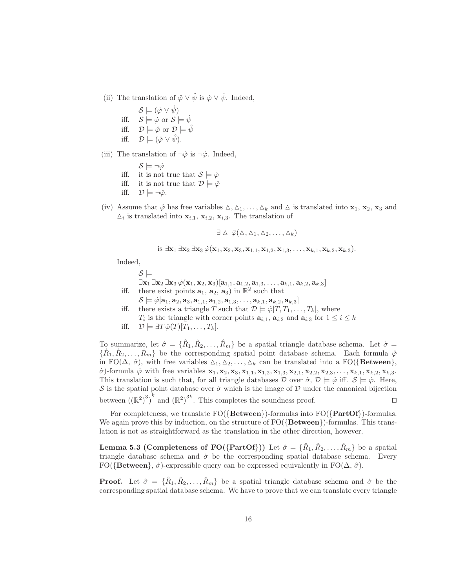- (ii) The translation of  $\hat{\varphi} \vee \hat{\psi}$  is  $\dot{\varphi} \vee \dot{\psi}$ . Indeed,
	- $\mathcal{S} \models (\dot{\varphi} \vee \dot{\psi})$ iff.  $S \models \phi$  or  $S \models \psi$ iff.  $\mathcal{D} \models \hat{\varphi}$  or  $\mathcal{D} \models \hat{\psi}$ iff.  $\mathcal{D} \models (\hat{\varphi} \vee \hat{\psi}).$
- (iii) The translation of  $\neg \hat{\varphi}$  is  $\neg \dot{\varphi}$ . Indeed,
	- $S \models \neg \dot{\varphi}$ iff. it is not true that  $S \models \dot{\varphi}$ iff. it is not true that  $\mathcal{D} \models \hat{\varphi}$
	- iff.  $\mathcal{D} \models \neg \hat{\varphi}$ .
- (iv) Assume that  $\hat{\varphi}$  has free variables  $\Delta, \Delta_1, \ldots, \Delta_k$  and  $\Delta$  is translated into  $\mathbf{x}_1, \mathbf{x}_2, \mathbf{x}_3$  and  $\Delta_i$  is translated into  $\mathbf{x}_{i,1}, \mathbf{x}_{i,2}, \mathbf{x}_{i,3}$ . The translation of

$$
\exists \Delta \; \hat{\varphi}(\Delta, \Delta_1, \Delta_2, \ldots, \Delta_k)
$$

is 
$$
\exists
$$
**x**<sub>1</sub>  $\exists$ **x**<sub>2</sub>  $\exists$ **x**<sub>3</sub>  $\dot{\varphi}$ (**x**<sub>1</sub>, **x**<sub>2</sub>, **x**<sub>3</sub>, **x**<sub>1,1</sub>, **x**<sub>1,2</sub>, **x**<sub>1,3</sub>, ..., **x**<sub>k,1</sub>, **x**<sub>k,2</sub>, **x**<sub>k,3</sub>).

Indeed,

 $\mathcal{S} \models$  $\exists x_1 \exists x_2 \exists x_3 \, \dot{\varphi}(x_1, x_2, x_3) [\mathbf{a}_{1,1}, \mathbf{a}_{1,2}, \mathbf{a}_{1,3}, \ldots, \mathbf{a}_{k,1}, \mathbf{a}_{k,2}, \mathbf{a}_{k,3}]$ iff. there exist points  $\mathbf{a}_1, \mathbf{a}_2, \mathbf{a}_3$  in  $\mathbb{R}^2$  such that

- $\mathcal{S} \models \dot{\varphi}[\mathbf{a}_1, \mathbf{a}_2, \mathbf{a}_3, \mathbf{a}_{1,1}, \mathbf{a}_{1,2}, \mathbf{a}_{1,3}, \dots, \mathbf{a}_{k,1}, \mathbf{a}_{k,2}, \mathbf{a}_{k,3}]$
- iff. there exists a triangle T such that  $\mathcal{D} \models \hat{\varphi}[T, T_1, \ldots, T_k]$ , where  $T_i$  is the triangle with corner points  $a_{i,1}$ ,  $a_{i,2}$  and  $a_{i,3}$  for  $1 \leq i \leq k$
- iff.  $\mathcal{D} \models \exists T \hat{\varphi}(T)[T_1, \ldots, T_k].$

To summarize, let  $\hat{\sigma} = \{\hat{R}_1, \hat{R}_2, \ldots, \hat{R}_m\}$  be a spatial triangle database schema. Let  $\dot{\sigma} =$  $\{\dot{R}_1, \dot{R}_2, \ldots, \dot{R}_m\}$  be the corresponding spatial point database schema. Each formula  $\hat{\varphi}$ in FO( $(\Delta, \hat{\sigma})$ , with free variables  $\Delta_1, \Delta_2, \ldots, \Delta_k$  can be translated into a FO({Between},  $\dot{\sigma}$ )-formula  $\dot{\varphi}$  with free variables  $\mathbf{x}_1, \mathbf{x}_2, \mathbf{x}_3, \mathbf{x}_{1,1}, \mathbf{x}_{1,2}, \mathbf{x}_{1,3}, \mathbf{x}_{2,1}, \mathbf{x}_{2,2}, \mathbf{x}_{2,3}, \ldots, \mathbf{x}_{k,1}, \mathbf{x}_{k,2}, \mathbf{x}_{k,3}$ . This translation is such that, for all triangle databases D over  $\hat{\sigma}$ ,  $\mathcal{D} \models \hat{\varphi}$  iff.  $\mathcal{S} \models \dot{\varphi}$ . Here, S is the spatial point database over  $\dot{\sigma}$  which is the image of D under the canonical bijection between  $((\mathbb{R}^2)^3)^k$  and  $(\mathbb{R}^2)^{3k}$ . This completes the soundness proof. □

For completeness, we translate  $FO({Between})$ -formulas into  $FO({PartOf})$ -formulas. We again prove this by induction, on the structure of  $FO({\lbrace Between \rbrace})$ -formulas. This translation is not as straightforward as the translation in the other direction, however.

<span id="page-15-0"></span>Lemma 5.3 (Completeness of FO({PartOf})) Let  $\hat{\sigma} = \{\hat{R}_1, \hat{R}_2, \dots, \hat{R}_m\}$  be a spatial triangle database schema and  $\dot{\sigma}$  be the corresponding spatial database schema. Every FO({Between},  $\dot{\sigma}$ )-expressible query can be expressed equivalently in FO( $\Delta$ ,  $\dot{\sigma}$ ).

**Proof.** Let  $\hat{\sigma} = \{\hat{R}_1, \hat{R}_2, \ldots, \hat{R}_m\}$  be a spatial triangle database schema and  $\hat{\sigma}$  be the corresponding spatial database schema. We have to prove that we can translate every triangle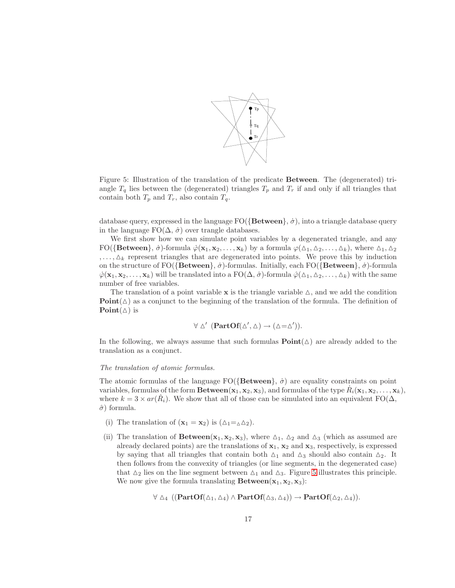

<span id="page-16-0"></span>Figure 5: Illustration of the translation of the predicate Between. The (degenerated) triangle  $T_q$  lies between the (degenerated) triangles  $T_p$  and  $T_r$  if and only if all triangles that contain both  $T_p$  and  $T_r$ , also contain  $T_q$ .

database query, expressed in the language  $FO({Between}, \dot{\sigma})$ , into a triangle database query in the language  $FO(\Delta, \hat{\sigma})$  over trangle databases.

We first show how we can simulate point variables by a degenerated triangle, and any  $FO({\textbf{Between}}, \dot{\sigma})$ -formula  $\dot{\varphi}(\mathbf{x}_1, \mathbf{x}_2, \dots, \mathbf{x}_k)$  by a formula  $\varphi(\Delta_1, \Delta_2, \dots, \Delta_k)$ , where  $\Delta_1, \Delta_2$  $, \ldots, \Delta_k$  represent triangles that are degenerated into points. We prove this by induction on the structure of  $FO({\lbrace Between \rbrace}, \dot{\sigma})$ -formulas. Initially, each  $FO({\lbrace Between \rbrace}, \dot{\sigma})$ -formula  $\varphi(\mathbf{x}_1, \mathbf{x}_2, \dots, \mathbf{x}_k)$  will be translated into a  $FO(\Delta, \hat{\sigma})$ -formula  $\hat{\varphi}(\Delta_1, \Delta_2, \dots, \Delta_k)$  with the same number of free variables.

The translation of a point variable  $x$  is the triangle variable  $\Delta$ , and we add the condition  $Point(\Delta)$  as a conjunct to the beginning of the translation of the formula. The definition of Point $(\triangle)$  is

$$
\forall \Delta' \ (\mathbf{PartOf}(\Delta', \Delta) \to (\Delta = \Delta')).
$$

In the following, we always assume that such formulas  $\text{Point}(\triangle)$  are already added to the translation as a conjunct.

#### *The translation of atomic formulas.*

The atomic formulas of the language  $FO({\lbrace Between \rbrace}, \dot{\sigma})$  are equality constraints on point variables, formulas of the form  $\textbf{Between}(\mathbf{x}_1, \mathbf{x}_2, \mathbf{x}_3)$ , and formulas of the type  $R_i(\mathbf{x}_1, \mathbf{x}_2, \ldots, \mathbf{x}_k)$ , where  $k = 3 \times ar(\hat{R}_i)$ . We show that all of those can be simulated into an equivalent FO( $\Delta$ ,  $\hat{\sigma}$ ) formula.

- (i) The translation of  $(\mathbf{x}_1 = \mathbf{x}_2)$  is  $(\Delta_1 = \Delta_2)$ .
- (ii) The translation of **Between**( $x_1, x_2, x_3$ ), where  $\Delta_1$ ,  $\Delta_2$  and  $\Delta_3$  (which as assumed are already declared points) are the translations of  $x_1$ ,  $x_2$  and  $x_3$ , respectively, is expressed by saying that all triangles that contain both  $\Delta_1$  and  $\Delta_3$  should also contain  $\Delta_2$ . It then follows from the convexity of triangles (or line segments, in the degenerated case) that  $\Delta_2$  lies on the line segment between  $\Delta_1$  and  $\Delta_3$ . Figure [5](#page-16-0) illustrates this principle. We now give the formula translating  $\textbf{Between}(\mathbf{x}_1, \mathbf{x}_2, \mathbf{x}_3)$ :

$$
\forall \vartriangle_4 \ ((\mathbf{PartOf}(\vartriangle_1, \vartriangle_4) \wedge \mathbf{PartOf}(\vartriangle_3, \vartriangle_4)) \rightarrow \mathbf{PartOf}(\vartriangle_2, \vartriangle_4)).
$$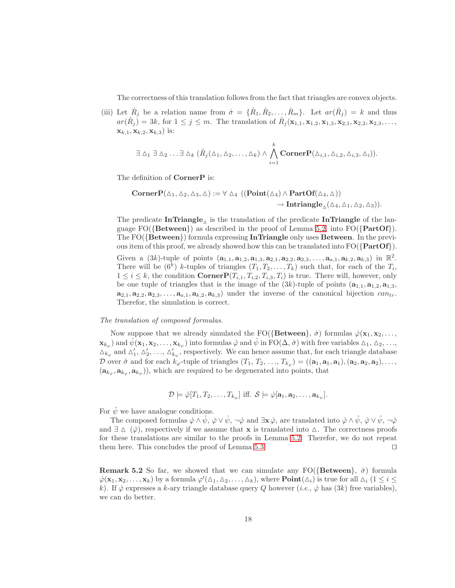The correctness of this translation follows from the fact that triangles are convex objects.

(iii) Let  $\dot{R}_j$  be a relation name from  $\dot{\sigma} = {\{\dot{R}_1, \dot{R}_2, \ldots, \dot{R}_m\}}$ . Let  $ar(\hat{R}_j) = k$  and thus  $ar(\dot{R}_j) = 3k$ , for  $1 \leq j \leq m$ . The translation of  $\dot{R}_j(\mathbf{x}_{1,1}, \mathbf{x}_{1,2}, \mathbf{x}_{1,3}, \mathbf{x}_{2,1}, \mathbf{x}_{2,2}, \mathbf{x}_{2,3}, \ldots,$  ${\bf x}_{k,1}, {\bf x}_{k,2}, {\bf x}_{k,3}$  is:

$$
\exists \Delta_1 \exists \Delta_2 \ldots \exists \Delta_k (\hat{R}_j(\Delta_1, \Delta_2, \ldots, \Delta_k) \wedge \bigwedge_{i=1}^k \text{CornerP}(\Delta_{i,1}, \Delta_{i,2}, \Delta_{i,3}, \Delta_i)).
$$

The definition of **CornerP** is:

$$
\begin{aligned}\n\textbf{CornerP}(\Delta_1, \Delta_2, \Delta_3, \Delta) &:= \forall \; \Delta_4 \; \big( (\textbf{Point}(\Delta_4) \land \textbf{PartOf}(\Delta_4, \Delta)) \\ \rightarrow \textbf{Intriangle}_{\Delta}(\Delta_4, \Delta_1, \Delta_2, \Delta_3) \big). \end{aligned}
$$

The predicate  $InTriangle_{\Delta}$  is the translation of the predicate InTriangle of the language  $FO({\text{Between}})$  as described in the proof of Lemma [5.2,](#page-12-0) into  $FO({\text{PartOf}})$ . The  $FO({Between})$  formula expressing **InTriangle** only uses **Between**. In the previous item of this proof, we already showed how this can be translated into  $FO({\{PartOf\}})$ .

Given a  $(3k)$ -tuple of points  $(a_{1,1}, a_{1,2}, a_{1,3}, a_{2,1}, a_{2,2}, a_{2,3}, \ldots, a_{a,1}, a_{k,2}, a_{k,3})$  in  $\mathbb{R}^2$ . There will be  $(6^k)$  k-tuples of triangles  $(T_1, T_2, \ldots, T_k)$  such that, for each of the  $T_i$ ,  $1 \leq i \leq k$ , the condition  $\text{CornerP}(T_{i,1}, T_{i,2}, T_{i,3}, T_i)$  is true. There will, however, only be one tuple of triangles that is the image of the  $(3k)$ -tuple of points  $(a_{1,1}, a_{1,2}, a_{1,3},$  $a_{2,1}, a_{2,2}, a_{2,3}, \ldots, a_{a,1}, a_{k,2}, a_{k,3}$  under the inverse of the canonical bijection  $can_{tr}$ . Therefor, the simulation is correct.

#### *The translation of composed formulas.*

Now suppose that we already simulated the FO({Between},  $\dot{\sigma}$ ) formulas  $\dot{\varphi}(\mathbf{x}_1, \mathbf{x}_2, \dots,$  $\mathbf{x}_{k_{\varphi}}$  and  $\dot{\psi}(\mathbf{x}_1, \mathbf{x}_2, \dots, \mathbf{x}_{k_{\psi}})$  into formulas  $\hat{\varphi}$  and  $\hat{\psi}$  in  $\text{FO}(\Delta, \hat{\sigma})$  with free variables  $\Delta_1, \Delta_2, \dots,$  $\Delta_{k_{\varphi}}$  and  $\Delta'_{1}, \Delta'_{2}, \ldots, \Delta'_{k_{\psi}}$ , respectively. We can hence assume that, for each triangle database D over  $\hat{\sigma}$  and for each  $k_{\varphi}$ -tuple of triangles  $(T_1, T_2, ..., T_{k_{\varphi}}) = ((\mathbf{a}_1, \mathbf{a}_1, \mathbf{a}_1), (\mathbf{a}_2, \mathbf{a}_2, \mathbf{a}_2), ...,$  $(\mathbf{a}_{k_{\varphi}}, \mathbf{a}_{k_{\varphi}}, \mathbf{a}_{k_{\varphi}})$ , which are required to be degenerated into points, that

$$
\mathcal{D} \models \hat{\varphi}[T_1, T_2, \dots, T_{k_{\varphi}}] \text{ iff. } \mathcal{S} \models \dot{\varphi}[\mathbf{a}_1, \mathbf{a}_2, \dots, \mathbf{a}_{k_{\psi}}].
$$

For  $\hat{\psi}$  we have analogue conditions.

The composed formulas  $\dot{\varphi} \wedge \dot{\psi}$ ,  $\dot{\varphi} \vee \dot{\psi}$ ,  $\neg \dot{\varphi}$  and  $\exists \mathbf{x} \dot{\varphi}$ , are translated into  $\hat{\varphi} \wedge \hat{\psi}$ ,  $\hat{\varphi} \vee \hat{\psi}$ ,  $\neg \hat{\varphi}$ and  $\exists \Delta \ (\hat{\varphi})$ , respectively if we assume that **x** is translated into  $\Delta$ . The correctness proofs for these translations are similar to the proofs in Lemma [5.2.](#page-12-0) Therefor, we do not repeat them here. This concludes the proof of Lemma [5.3.](#page-15-0) ⊓⊔

**Remark 5.2** So far, we showed that we can simulate any  $FO({Between}, \dot{\sigma})$  formula  $\varphi(\mathbf{x}_1, \mathbf{x}_2, \dots, \mathbf{x}_k)$  by a formula  $\varphi'(\Delta_1, \Delta_2, \dots, \Delta_k)$ , where  $\text{Point}(\Delta_i)$  is true for all  $\Delta_i$   $(1 \leq i \leq k)$ k). If  $\dot{\varphi}$  expresses a k-ary triangle database query Q however (*i.e.*,  $\dot{\varphi}$  has (3k) free variables), we can do better.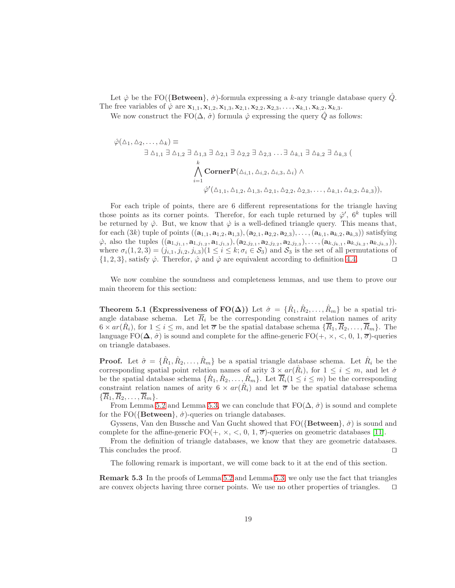Let  $\dot{\varphi}$  be the FO({Between},  $\dot{\sigma}$ )-formula expressing a k-ary triangle database query Q. The free variables of  $\varphi$  are  $\mathbf{x}_{1,1}, \mathbf{x}_{1,2}, \mathbf{x}_{1,3}, \mathbf{x}_{2,1}, \mathbf{x}_{2,2}, \mathbf{x}_{2,3}, \ldots, \mathbf{x}_{k,1}, \mathbf{x}_{k,2}, \mathbf{x}_{k,3}$ .

We now construct the FO( $\Delta$ ,  $\hat{\sigma}$ ) formula  $\hat{\varphi}$  expressing the query  $\hat{Q}$  as follows:

$$
\hat{\varphi}(\Delta_1, \Delta_2, \dots, \Delta_k) \equiv
$$
\n
$$
\exists \Delta_{1,1} \exists \Delta_{1,2} \exists \Delta_{1,3} \exists \Delta_{2,1} \exists \Delta_{2,2} \exists \Delta_{2,3} \dots \exists \Delta_{k,1} \exists \Delta_{k,2} \exists \Delta_{k,3} (
$$
\n
$$
\bigwedge_{i=1}^k \text{CornerP}(\Delta_{i,1}, \Delta_{i,2}, \Delta_{i,3}, \Delta_i) \wedge
$$
\n
$$
\hat{\varphi}'(\Delta_{1,1}, \Delta_{1,2}, \Delta_{1,3}, \Delta_{2,1}, \Delta_{2,2}, \Delta_{2,3}, \dots, \Delta_{k,1}, \Delta_{k,2}, \Delta_{k,3})),
$$

For each triple of points, there are 6 different representations for the triangle having those points as its corner points. Therefor, for each tuple returned by  $\hat{\varphi}'$ ,  $6^k$  tuples will be returned by  $\hat{\varphi}$ . But, we know that  $\dot{\varphi}$  is a well-defined triangle query. This means that, for each  $(3k)$  tuple of points  $((a_{1,1}, a_{1,2}, a_{1,3}), (a_{2,1}, a_{2,2}, a_{2,3}), \ldots, (a_{k,1}, a_{k,2}, a_{k,3}))$  satisfying  $\dot{\varphi}$ , also the tuples  $((a_{1,j_{1,1}}, a_{1,j_{1,2}}, a_{1,j_{1,3}}), (a_{2,j_{2,1}}, a_{2,j_{2,2}}, a_{2,j_{2,3}}), \ldots, (a_{k,j_{k,1}}, a_{k,j_{k,2}}, a_{k,j_{k,3}})),$ where  $\sigma_i(1, 2, 3) = (j_{i,1}, j_{i,2}, j_{i,3})$  ( $1 \le i \le k; \sigma_i \in S_3$ ) and  $S_3$  is the set of all permutations of  $\{1, 2, 3\}$ , satisfy  $\varphi$ . Therefor,  $\hat{\varphi}$  and  $\dot{\varphi}$  are equivalent according to definition [4.4.](#page-8-0) □

<span id="page-18-1"></span>We now combine the soundness and completeness lemmas, and use them to prove our main theorem for this section:

**Theorem 5.1 (Expressiveness of FO(** $\Delta$ **))** Let  $\hat{\sigma} = {\hat{R_1}, \hat{R_2}, \dots, \hat{R_m}}$  be a spatial triangle database schema. Let  $\overline{R}_i$  be the corresponding constraint relation names of arity  $6 \times ar(\hat{R}_i)$ , for  $1 \leq i \leq m$ , and let  $\overline{\sigma}$  be the spatial database schema  $\{\overline{R}_1, \overline{R}_2, \ldots, \overline{R}_m\}$ . The language  $FO(\Delta, \hat{\sigma})$  is sound and complete for the affine-generic  $FO(+, \times, \leq, 0, 1, \overline{\sigma})$ -queries on triangle databases.

**Proof.** Let  $\hat{\sigma} = \{\hat{R}_1, \hat{R}_2, \dots, \hat{R}_m\}$  be a spatial triangle database schema. Let  $\hat{R}_i$  be the corresponding spatial point relation names of arity  $3 \times ar(\hat{R}_i)$ , for  $1 \leq i \leq m$ , and let  $\dot{\sigma}$ be the spatial database schema  $\{\dot{R}_1, \dot{R}_2, \ldots, \dot{R}_m\}$ . Let  $\overline{R}_i$  ( $1 \leq i \leq m$ ) be the corresponding constraint relation names of arity  $6 \times ar(\hat{R}_i)$  and let  $\overline{\sigma}$  be the spatial database schema  $\{\overline{R}_1, \overline{R}_2, \ldots, \overline{R}_m\}.$ 

From Lemma [5.2](#page-12-0) and Lemma [5.3,](#page-15-0) we can conclude that  $FO(\Delta, \hat{\sigma})$  is sound and complete for the FO( ${ \text{Between} }$ ,  $\dot{\sigma}$ )-queries on triangle databases.

Gyssens, Van den Bussche and Van Gucht showed that  $FO({\lbrace Between \rbrace}, \dot{\sigma})$  is sound and complete for the affine-generic  $FO(+, \times, <, 0, 1, \overline{\sigma})$ -queries on geometric databases [\[11\]](#page-41-2).

From the definition of triangle databases, we know that they are geometric databases. This concludes the proof. □

<span id="page-18-0"></span>The following remark is important, we will come back to it at the end of this section.

Remark 5.3 In the proofs of Lemma [5.2](#page-12-0) and Lemma [5.3,](#page-15-0) we only use the fact that triangles are convex objects having three corner points. We use no other properties of triangles. ⊓⊔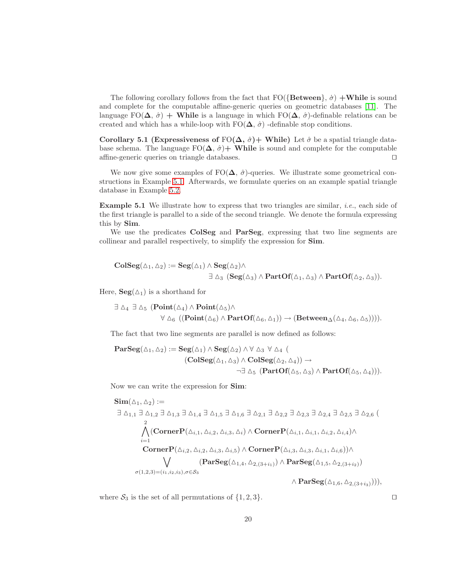The following corollary follows from the fact that  $FO({\lbrace Between \rbrace}, \dot{\sigma}) +$ While is sound and complete for the computable affine-generic queries on geometric databases [\[11\]](#page-41-2). The language FO( $\Delta$ ,  $\hat{\sigma}$ ) + While is a language in which FO( $\Delta$ ,  $\hat{\sigma}$ )-definable relations can be created and which has a while-loop with  $FO(\Delta, \hat{\sigma})$  -definable stop conditions.

Corollary 5.1 (Expressiveness of FO( $\Delta$ ,  $\hat{\sigma}$ )+ While) Let  $\hat{\sigma}$  be a spatial triangle database schema. The language  $FO(\Delta, \hat{\sigma})$  While is sound and complete for the computable affine-generic queries on triangle databases. ⊓⊔

We now give some examples of  $F(\Delta, \hat{\sigma})$ -queries. We illustrate some geometrical constructions in Example [5.1.](#page-19-0) Afterwards, we formulate queries on an example spatial triangle database in Example [5.2.](#page-20-0)

<span id="page-19-0"></span>Example 5.1 We illustrate how to express that two triangles are similar, *i.e.*, each side of the first triangle is parallel to a side of the second triangle. We denote the formula expressing this by Sim.

We use the predicates ColSeg and ParSeg, expressing that two line segments are collinear and parallel respectively, to simplify the expression for Sim.

$$
\begin{aligned} \mathbf{ColSeg}(\vartriangle_1,\vartriangle_2) := \mathbf{Seg}(\vartriangle_1) \wedge \mathbf{Seg}(\vartriangle_2) \wedge \\ &\exists \vartriangle_3 \ (\mathbf{Seg}(\vartriangle_3) \wedge \mathbf{PartOf}(\vartriangle_1,\vartriangle_3) \wedge \mathbf{PartOf}(\vartriangle_2,\vartriangle_3)). \end{aligned}
$$

Here,  $\textbf{Seg}(\Delta_1)$  is a shorthand for

$$
\exists \Delta_4 \exists \Delta_5 (\mathbf{Point}(\Delta_4) \wedge \mathbf{Point}(\Delta_5) \wedge \forall \Delta_6 ((\mathbf{Point}(\Delta_6) \wedge \mathbf{PartOf}(\Delta_6, \Delta_1)) \rightarrow (\mathbf{Between}_{\Delta}(\Delta_4, \Delta_6, \Delta_5)))).
$$

The fact that two line segments are parallel is now defined as follows:

$$
\begin{aligned} \mathbf{ParSeg}(\vartriangle_1,\vartriangle_2):=\mathbf{Seg}(\vartriangle_1)\wedge\mathbf{Seg}(\vartriangle_2)\wedge\forall\; \vartriangle_3\; \forall\; \vartriangle_4\; (\\ &(\mathbf{ColSeg}(\vartriangle_1,\vartriangle_3)\wedge\mathbf{ColSeg}(\vartriangle_2,\vartriangle_4))\rightarrow\\ &\neg\exists\; \vartriangle_5\; (\mathbf{PartOf}(\vartriangle_5,\vartriangle_3)\wedge\mathbf{PartOf}(\vartriangle_5,\vartriangle_4))).\end{aligned}
$$

Now we can write the expression for Sim:

$$
\begin{split} \mathbf{Sim}(\Delta_1, \Delta_2) &:= \\ \exists \Delta_{1,1} \exists \Delta_{1,2} \exists \Delta_{1,3} \exists \Delta_{1,4} \exists \Delta_{1,5} \exists \Delta_{1,6} \exists \Delta_{2,1} \exists \Delta_{2,2} \exists \Delta_{2,3} \exists \Delta_{2,4} \exists \Delta_{2,5} \exists \Delta_{2,6} \ ( \\ &\begin{array}{c} 2 \\ \Lambda \end{array} \ (\textbf{CornerP}(\Delta_{i,1}, \Delta_{i,2}, \Delta_{i,3}, \Delta_i) \wedge \textbf{CornerP}(\Delta_{i,1}, \Delta_{i,1}, \Delta_{i,2}, \Delta_{i,4}) \wedge \\ &\begin{array}{c} 2 \\ \hline \end{array} \ \textbf{CornerP}(\Delta_{i,2}, \Delta_{i,2}, \Delta_{i,3}, \Delta_i) \wedge \textbf{CornerP}(\Delta_{i,3}, \Delta_{i,1}, \Delta_{i,2}, \Delta_{i,4}) \wedge \\ &\begin{array}{c} \hline \end{array} \ \textbf{CornerP}(\Delta_{i,2}, \Delta_{i,2}, \Delta_{i,3}, \Delta_{i,5}) \wedge \textbf{CornerP}(\Delta_{i,3}, \Delta_{i,3}, \Delta_{i,1}, \Delta_{i,6}) \wedge \\ &\begin{array}{c} \hline \end{array} \ \textbf{Parseg}(\Delta_{1,4}, \Delta_{2,(3+i_1)}) \wedge \textbf{ParSeg}(\Delta_{1,5}, \Delta_{2,(3+i_2)}) \end{split}
$$

where  $S_3$  is the set of all permutations of  $\{1, 2, 3\}$ . □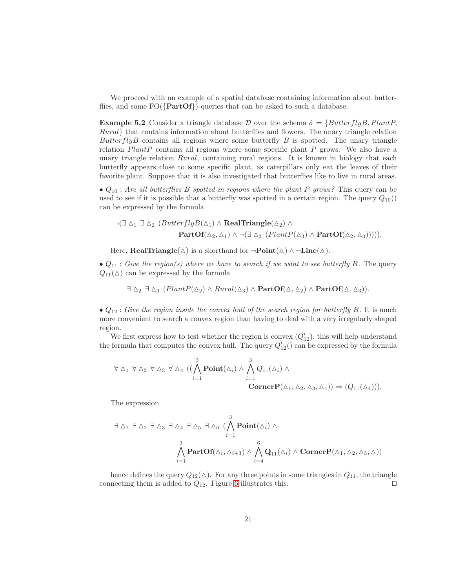<span id="page-20-0"></span>We proceed with an example of a spatial database containing information about butterflies, and some  $FO({\text{PartOf}})$ -queries that can be asked to such a database.

**Example 5.2** Consider a triangle database D over the schema  $\hat{\sigma} = \{ButterflyB, PlantP,$ Rural} that contains information about butterflies and flowers. The unary triangle relation Butter fly B contains all regions where some butterfly B is spotted. The unary triangle relation  $PlantP$  contains all regions where some specific plant  $P$  grows. We also have a unary triangle relation *Rural*, containing rural regions. It is known in biology that each butterfly appears close to some specific plant, as caterpillars only eat the leaves of their favorite plant. Suppose that it is also investigated that butterflies like to live in rural areas.

• Q<sup>10</sup> : *Are all butterflies* B *spotted in regions where the plant* P *grows?* This query can be used to see if it is possible that a butterfly was spotted in a certain region. The query  $Q_{10}()$ can be expressed by the formula

$$
\neg(\exists \Delta_1 \exists \Delta_2 (ButterflyB(\Delta_1) \land RealTriangle(\Delta_2) \land
$$
  
PartOf( $\Delta_2$ ,  $\Delta_1$ )  $\land \neg(\exists \Delta_3 (PlantP(\Delta_3) \land PartOf(\Delta_2, \Delta_3)))))$ .

Here, **RealTriangle**( $\triangle$ ) is a shorthand for  $\neg$ **Point** $(\triangle) \wedge \neg$ **Line**( $\triangle$ ).

•  $Q_{11}$ : *Give the region(s) where we have to search if we want to see butterfly B.* The query  $Q_{11}(\Delta)$  can be expressed by the formula

 $\exists \Delta_2 \exists \Delta_3 \ (PlantP(\Delta_2) \wedge Rural(\Delta_3) \wedge PartOf(\Delta, \Delta_2) \wedge PartOf(\Delta, \Delta_3)).$ 

•  $Q_{12}$ : *Give the region inside the convex hull of the search region for butterfly* B. It is much more convenient to search a convex region than having to deal with a very irregularly shaped region.

We first express how to test whether the region is convex  $(Q'_{12})$ , this will help understand the formula that computes the convex hull. The query  $Q'_{12}$  can be expressed by the formula

$$
\forall \Delta_1 \ \forall \Delta_2 \ \forall \Delta_3 \ \forall \Delta_4 \ ((\bigwedge_{i=1}^3 \mathbf{Point}(\Delta_i) \land \bigwedge_{i=1}^3 Q_{11}(\Delta_i) \land \mathbf{CornerP}(\Delta_1, \Delta_2, \Delta_3, \Delta_4)) \Rightarrow (Q_{11}(\Delta_4))).
$$

The expression

$$
\exists \Delta_1 \exists \Delta_2 \exists \Delta_3 \exists \Delta_4 \exists \Delta_5 \exists \Delta_6 (\bigwedge_{i=1}^3 \text{Point}(\Delta_i) \wedge \bigwedge_{i=1}^3 \mathbf{Q}_{11}(\Delta_i) \wedge \bigwedge_{i=4}^6 \mathbf{Q}_{11}(\Delta_i) \wedge \text{CornerP}(\Delta_1, \Delta_2, \Delta_3, \Delta))
$$

hence defines the query  $Q_{12}(\Delta)$ . For any three points in some triangles in  $Q_{11}$ , the triangle connecting them is added to  $Q_{12}$ . Figure [6](#page-21-0) illustrates this. □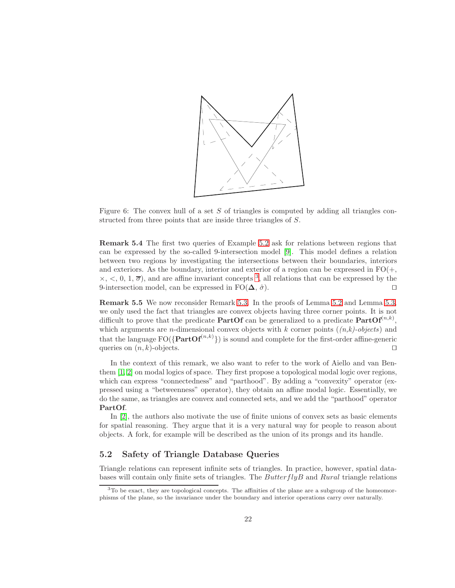

<span id="page-21-0"></span>Figure 6: The convex hull of a set  $S$  of triangles is computed by adding all triangles constructed from three points that are inside three triangles of S.

Remark 5.4 The first two queries of Example [5.2](#page-20-0) ask for relations between regions that can be expressed by the so-called 9-intersection model [\[9\]](#page-41-7). This model defines a relation between two regions by investigating the intersections between their boundaries, interiors and exteriors. As the boundary, interior and exterior of a region can be expressed in  $FO(+,$  $\times, <, 0, 1, \overline{\sigma}$ , and are affine invariant concepts <sup>[3](#page-21-1)</sup>, all relations that can be expressed by the 9-intersection model, can be expressed in  $FO(\Delta, \hat{\sigma})$ . □

<span id="page-21-3"></span>Remark 5.5 We now reconsider Remark [5.3.](#page-18-0) In the proofs of Lemma [5.2](#page-12-0) and Lemma [5.3,](#page-15-0) we only used the fact that triangles are convex objects having three corner points. It is not difficult to prove that the predicate **PartOf** can be generalized to a predicate  $PartOf^{(n,k)}$ , which arguments are n-dimensional convex objects with k corner points (*(n,k)-objects*) and that the language  $FO({\lbrace PartOf^{(n,k)} \rbrace})$  is sound and complete for the first-order affine-generic queries on  $(n, k)$ -objects. □

In the context of this remark, we also want to refer to the work of Aiello and van Benthem [\[1,](#page-41-8) [2\]](#page-41-9) on modal logics of space. They first propose a topological modal logic over regions, which can express "connectedness" and "parthood". By adding a "convexity" operator (expressed using a "betweenness" operator), they obtain an affine modal logic. Essentially, we do the same, as triangles are convex and connected sets, and we add the "parthood" operator PartOf.

In [\[2\]](#page-41-9), the authors also motivate the use of finite unions of convex sets as basic elements for spatial reasoning. They argue that it is a very natural way for people to reason about objects. A fork, for example will be described as the union of its prongs and its handle.

### <span id="page-21-2"></span>5.2 Safety of Triangle Database Queries

Triangle relations can represent infinite sets of triangles. In practice, however, spatial databases will contain only finite sets of triangles. The  $ButterflyB$  and  $Rural$  triangle relations

<span id="page-21-1"></span> $3T<sub>0</sub>$  be exact, they are topological concepts. The affinities of the plane are a subgroup of the homeomorphisms of the plane, so the invariance under the boundary and interior operations carry over naturally.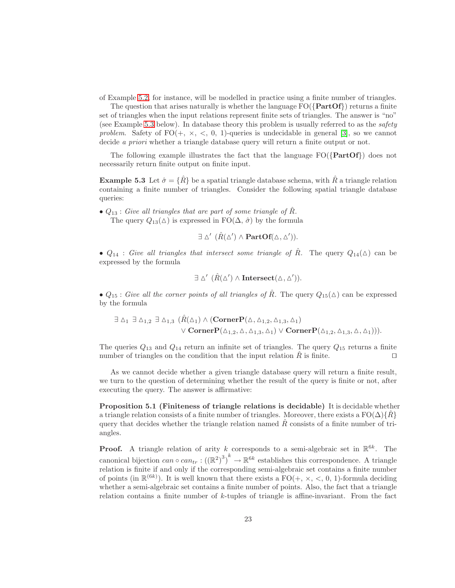of Example [5.2,](#page-20-0) for instance, will be modelled in practice using a finite number of triangles.

The question that arises naturally is whether the language  $FO({\text{PartOf}})$  returns a finite set of triangles when the input relations represent finite sets of triangles. The answer is "no" (see Example [5.3](#page-22-0) below). In database theory this problem is usually referred to as the *safety problem.* Safety of  $FO(+, \times, \leq, 0, 1)$ -queries is undecidable in general [\[3\]](#page-41-10), so we cannot decide *a priori* whether a triangle database query will return a finite output or not.

<span id="page-22-0"></span>The following example illustrates the fact that the language  $FO({\text{PartOf}})$  does not necessarily return finite output on finite input.

**Example 5.3** Let  $\hat{\sigma} = {\hat{R}}$  be a spatial triangle database schema, with  $\hat{R}$  a triangle relation containing a finite number of triangles. Consider the following spatial triangle database queries:

•  $Q_{13}$ : *Give all triangles that are part of some triangle of*  $\hat{R}$ *.* The query  $Q_{13}(\Delta)$  is expressed in FO( $\Delta$ ,  $\hat{\sigma}$ ) by the formula

 $\exists \Delta' \; (\hat{R}(\Delta') \wedge \textbf{PartOf}(\Delta, \Delta')).$ 

•  $Q_{14}$ : *Give all triangles that intersect some triangle of*  $\hat{R}$ . The query  $Q_{14}(\Delta)$  can be expressed by the formula

$$
\exists \Delta' \ (\hat{R}(\Delta') \wedge \textbf{Interest}(\Delta, \Delta')).
$$

•  $Q_{15}$ : *Give all the corner points of all triangles of*  $\hat{R}$ . The query  $Q_{15}(\Delta)$  can be expressed by the formula

$$
\exists \Delta_1 \exists \Delta_{1,2} \exists \Delta_{1,3} (\hat{R}(\Delta_1) \wedge (\mathbf{CornerP}(\Delta, \Delta_{1,2}, \Delta_{1,3}, \Delta_1) \vee \mathbf{CornerP}(\Delta_{1,2}, \Delta, \Delta_{1,3}, \Delta_1) \vee \mathbf{CornerP}(\Delta_{1,2}, \Delta, \Delta_{1,3}, \Delta, \Delta_1))).
$$

The queries  $Q_{13}$  and  $Q_{14}$  return an infinite set of triangles. The query  $Q_{15}$  returns a finite number of triangles on the condition that the input relation  $\hat{R}$  is finite. □

As we cannot decide whether a given triangle database query will return a finite result, we turn to the question of determining whether the result of the query is finite or not, after executing the query. The answer is affirmative:

Proposition 5.1 (Finiteness of triangle relations is decidable) It is decidable whether a triangle relation consists of a finite number of triangles. Moreover, there exists a  $FO(\Delta){R}$ query that decides whether the triangle relation named  $\hat{R}$  consists of a finite number of triangles.

**Proof.** A triangle relation of arity k corresponds to a semi-algebraic set in  $\mathbb{R}^{6k}$ . The canonical bijection  $can \circ can_{tr} : ((\mathbb{R}^2)^3)^k \to \mathbb{R}^{6k}$  establishes this correspondence. A triangle relation is finite if and only if the corresponding semi-algebraic set contains a finite number of points (in  $\mathbb{R}^{(6k)}$ ). It is well known that there exists a FO(+,  $\times$ ,  $\lt$ , 0, 1)-formula deciding whether a semi-algebraic set contains a finite number of points. Also, the fact that a triangle relation contains a finite number of k-tuples of triangle is affine-invariant. From the fact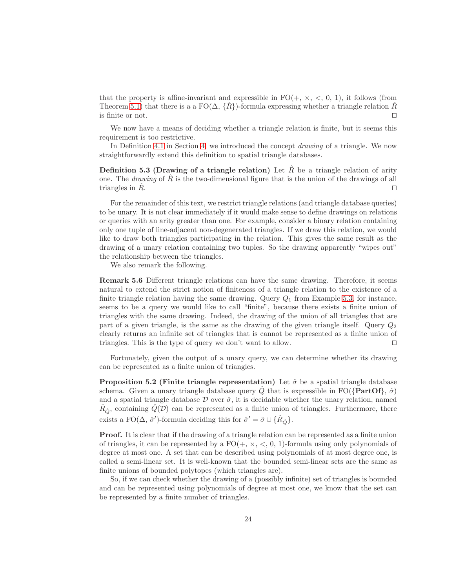that the property is affine-invariant and expressible in  $FO(+, \times, <, 0, 1)$ , it follows (from Theorem [5.1\)](#page-18-1) that there is a a  $FO(\Delta, \{R\})$ -formula expressing whether a triangle relation R is finite or not. ⊓⊔

We now have a means of deciding whether a triangle relation is finite, but it seems this requirement is too restrictive.

In Definition [4.1](#page-5-1) in Section [4,](#page-5-2) we introduced the concept *drawing* of a triangle. We now straightforwardly extend this definition to spatial triangle databases.

**Definition 5.3 (Drawing of a triangle relation)** Let  $\hat{R}$  be a triangle relation of arity one. The *drawing* of  $\tilde{R}$  is the two-dimensional figure that is the union of the drawings of all triangles in  $\bar{R}$ .  $□$ 

For the remainder of this text, we restrict triangle relations (and triangle database queries) to be unary. It is not clear immediately if it would make sense to define drawings on relations or queries with an arity greater than one. For example, consider a binary relation containing only one tuple of line-adjacent non-degenerated triangles. If we draw this relation, we would like to draw both triangles participating in the relation. This gives the same result as the drawing of a unary relation containing two tuples. So the drawing apparently "wipes out" the relationship between the triangles.

We also remark the following.

Remark 5.6 Different triangle relations can have the same drawing. Therefore, it seems natural to extend the strict notion of finiteness of a triangle relation to the existence of a finite triangle relation having the same drawing. Query  $Q_1$  from Example [5.3,](#page-22-0) for instance, seems to be a query we would like to call "finite", because there exists a finite union of triangles with the same drawing. Indeed, the drawing of the union of all triangles that are part of a given triangle, is the same as the drawing of the given triangle itself. Query  $Q_2$ clearly returns an infinite set of triangles that is cannot be represented as a finite union of triangles. This is the type of query we don't want to allow. ⊓⊔

Fortunately, given the output of a unary query, we can determine whether its drawing can be represented as a finite union of triangles.

**Proposition 5.2 (Finite triangle representation)** Let  $\hat{\sigma}$  be a spatial triangle database schema. Given a unary triangle database query  $\hat{Q}$  that is expressible in FO({PartOf},  $\hat{\sigma}$ ) and a spatial triangle database  $\mathcal D$  over  $\hat \sigma$ , it is decidable whether the unary relation, named  $\hat{R}_{\hat{Q}}$ , containing  $\hat{Q}(\mathcal{D})$  can be represented as a finite union of triangles. Furthermore, there exists a FO( $\Delta$ ,  $\hat{\sigma}'$ )-formula deciding this for  $\hat{\sigma}' = \hat{\sigma} \cup {\{\hat{R}_{\hat{Q}}\}}$ .

Proof. It is clear that if the drawing of a triangle relation can be represented as a finite union of triangles, it can be represented by a  $FO(+, \times, <, 0, 1)$ -formula using only polynomials of degree at most one. A set that can be described using polynomials of at most degree one, is called a semi-linear set. It is well-known that the bounded semi-linear sets are the same as finite unions of bounded polytopes (which triangles are).

So, if we can check whether the drawing of a (possibly infinite) set of triangles is bounded and can be represented using polynomials of degree at most one, we know that the set can be represented by a finite number of triangles.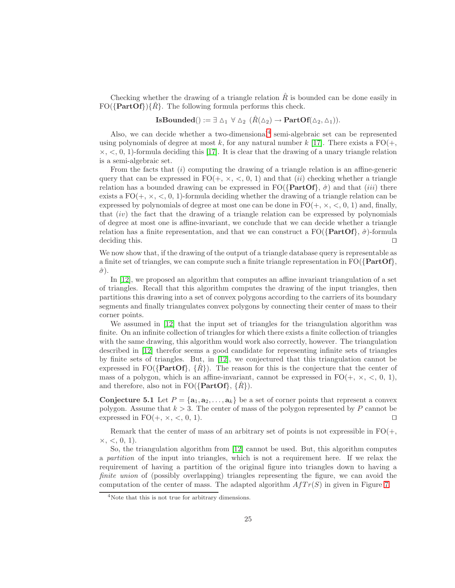Checking whether the drawing of a triangle relation  $\hat{R}$  is bounded can be done easily in  $FO({\{PartOf\}}({\mathbb{R}})$ . The following formula performs this check.

## **IsBounded**() :=  $\exists \Delta_1 \forall \Delta_2 (\hat{R}(\Delta_2) \rightarrow \textbf{PartOf}(\Delta_2, \Delta_1)).$

Also, we can decide whether a two-dimensional<sup>[4](#page-24-0)</sup> semi-algebraic set can be represented using polynomials of degree at most k, for any natural number k [\[17\]](#page-42-10). There exists a  $FO(+,$  $\times$ ,  $\lt$ , 0, 1)-formula deciding this [\[17\]](#page-42-10). It is clear that the drawing of a unary triangle relation is a semi-algebraic set.

From the facts that (i) computing the drawing of a triangle relation is an affine-generic query that can be expressed in  $FO(+, \times, <, 0, 1)$  and that *(ii)* checking whether a triangle relation has a bounded drawing can be expressed in  $FO({\{PartOf\}}, \hat{\sigma})$  and that (*iii*) there exists a  $FO(+, \times, <, 0, 1)$ -formula deciding whether the drawing of a triangle relation can be expressed by polynomials of degree at most one can be done in  $FO(+, \times, <, 0, 1)$  and, finally, that  $(iv)$  the fact that the drawing of a triangle relation can be expressed by polynomials of degree at most one is affine-invariant, we conclude that we can decide whether a triangle relation has a finite representation, and that we can construct a  $FO({\{PartOf\}}, \hat{\sigma})$ -formula deciding this. □

We now show that, if the drawing of the output of a triangle database query is representable as a finite set of triangles, we can compute such a finite triangle representation in  $FO({\{PartOf\}})$ ,  $\hat{\sigma}$ ).

In [\[12\]](#page-41-11), we proposed an algorithm that computes an affine invariant triangulation of a set of triangles. Recall that this algorithm computes the drawing of the input triangles, then partitions this drawing into a set of convex polygons according to the carriers of its boundary segments and finally triangulates convex polygons by connecting their center of mass to their corner points.

We assumed in [\[12\]](#page-41-11) that the input set of triangles for the triangulation algorithm was finite. On an infinite collection of triangles for which there exists a finite collection of triangles with the same drawing, this algorithm would work also correctly, however. The triangulation described in [\[12\]](#page-41-11) therefor seems a good candidate for representing infinite sets of triangles by finite sets of triangles. But, in [\[12\]](#page-41-11), we conjectured that this triangulation cannot be expressed in FO( $\{PartOf\}$ ,  $\{R\}$ ). The reason for this is the conjecture that the center of mass of a polygon, which is an affine-invariant, cannot be expressed in  $FO(+, \times, <, 0, 1)$ , and therefore, also not in  $FO({\{PartOf\}}, \{R\})$ .

**Conjecture 5.1** Let  $P = \{a_1, a_2, \ldots, a_k\}$  be a set of corner points that represent a convex polygon. Assume that  $k > 3$ . The center of mass of the polygon represented by P cannot be expressed in FO(+,  $\times$ ,  $\lt$ , 0, 1). □

Remark that the center of mass of an arbitrary set of points is not expressible in  $FO(+,$  $\times, \lt, 0, 1$ .

So, the triangulation algorithm from [\[12\]](#page-41-11) cannot be used. But, this algorithm computes a *partition* of the input into triangles, which is not a requirement here. If we relax the requirement of having a partition of the original figure into triangles down to having a *finite union* of (possibly overlapping) triangles representing the figure, we can avoid the computation of the center of mass. The adapted algorithm  $A f T r(S)$  in given in Figure [7.](#page-25-0)

<span id="page-24-0"></span><sup>4</sup>Note that this is not true for arbitrary dimensions.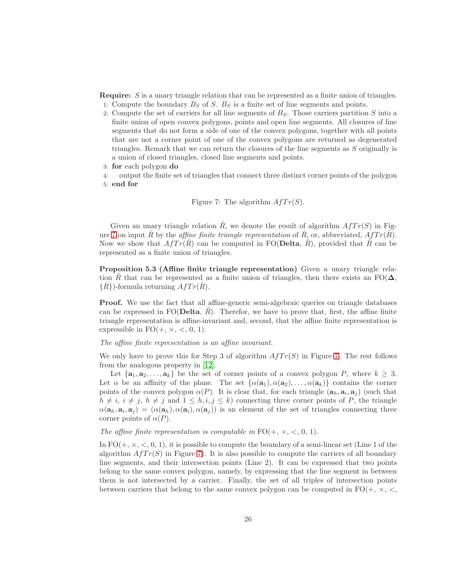Require: S is a unary triangle relation that can be represented as a finite union of triangles.

- 1: Compute the boundary  $B_S$  of S.  $B_S$  is a finite set of line segments and points.
- 2: Compute the set of carriers for all line segments of  $B<sub>S</sub>$ . Those carriers partition S into a finite union of open convex polygons, points and open line segments. All closures of line segments that do not form a side of one of the convex polygons, together with all points that are not a corner point of one of the convex polygons are returned as degenerated triangles. Remark that we can return the closures of the line segments as S originally is a union of closed triangles, closed line segments and points.
- 3: for each polygon do
- 4: output the finite set of triangles that connect three distinct corner points of the polygon 5: end for

<span id="page-25-0"></span>Figure 7: The algorithm 
$$
A f Tr(S)
$$
.

Given an unary triangle relation  $\hat{R}$ , we denote the result of algorithm  $A f T r(S)$  in Fig-ure [7](#page-25-0) on input R<sup> $\alpha$ </sup> by the *affine finite triangle representation* of R<sub>i</sub>, or, abbreviated,  $A f Tr(R)$ . Now we show that  $A f T r(R)$  can be computed in FO(Delta, R), provided that R can be represented as a finite union of triangles.

Proposition 5.3 (Affine finite triangle representation) Given a unary triangle relation R that can be represented as a finite union of triangles, then there exists an FO( $\Delta$ ,  $\{R\}$ -formula returning  $A f Tr(R)$ .

Proof. We use the fact that all affine-generic semi-algebraic queries on triangle databases can be expressed in FO(Delta,  $\hat{R}$ ). Therefor, we have to prove that, first, the affine finite triangle representation is affine-invariant and, second, that the affine finite representation is expressible in  $FO(+, \times, <, 0, 1)$ .

*The affine finite representation is an affine invariant.*

We only have to prove this for Step 3 of algorithm  $A f T r(S)$  in Figure [7.](#page-25-0) The rest follows from the analogous property in [\[12\]](#page-41-11).

Let  $\{a_1, a_2, \ldots, a_k\}$  be the set of corner points of a convex polygon P, where  $k \geq 3$ . Let  $\alpha$  be an affinity of the plane. The set  $\{\alpha(\mathbf{a}_1), \alpha(\mathbf{a}_2), \dots, \alpha(\mathbf{a}_k)\}\)$  contains the corner points of the convex polygon  $\alpha(P)$ . It is clear that, for each triangle  $(\mathbf{a}_h, \mathbf{a}_i, \mathbf{a}_j)$  (such that  $h \neq i, i \neq j, h \neq j$  and  $1 \leq h, i, j \leq k$ ) connecting three corner points of P, the triangle  $\alpha(\mathbf{a}_h, \mathbf{a}_i, \mathbf{a}_j) = (\alpha(\mathbf{a}_h), \alpha(\mathbf{a}_i), \alpha(\mathbf{a}_j))$  is an element of the set of triangles connecting three corner points of  $\alpha(P)$ .

*The affine finite representation is computable in*  $FO(+, \times, <, 0, 1)$ *.* 

In  $FO(+, \times, <, 0, 1)$ , it is possible to compute the boundary of a semi-linear set (Line 1 of the algorithm  $A f T r(S)$  in Figure [7\)](#page-25-0). It is also possible to compute the carriers of all boundary line segments, and their intersection points (Line 2). It can be expressed that two points belong to the same convex polygon, namely, by expressing that the line segment in between them is not intersected by a carrier. Finally, the set of all triples of intersection points between carriers that belong to the same convex polygon can be computed in  $FO(+, \times, \lt, ,$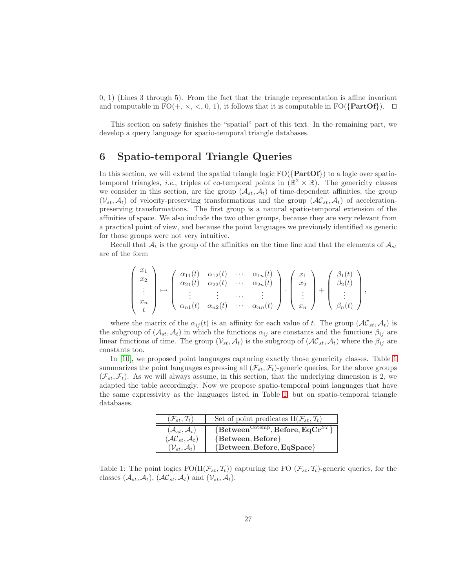0, 1) (Lines 3 through 5). From the fact that the triangle representation is affine invariant and computable in FO(+,  $\times$ ,  $\lt$ , 0, 1), it follows that it is computable in FO({**PartOf**}). □

This section on safety finishes the "spatial" part of this text. In the remaining part, we develop a query language for spatio-temporal triangle databases.

## <span id="page-26-0"></span>6 Spatio-temporal Triangle Queries

 $\overline{ }$ 

In this section, we will extend the spatial triangle logic  $FO({\text{PartOf}})$  to a logic over spatiotemporal triangles, *i.e.*, triples of co-temporal points in  $(\mathbb{R}^2 \times \mathbb{R})$ . The genericity classes we consider in this section, are the group  $(\mathcal{A}_{st}, \mathcal{A}_t)$  of time-dependent affinities, the group  $(V_{st}, \mathcal{A}_t)$  of velocity-preserving transformations and the group  $(\mathcal{AC}_{st}, \mathcal{A}_t)$  of accelerationpreserving transformations. The first group is a natural spatio-temporal extension of the affinities of space. We also include the two other groups, because they are very relevant from a practical point of view, and because the point languages we previously identified as generic for those groups were not very intuitive.

Recall that  $A_t$  is the group of the affinities on the time line and that the elements of  $A_{st}$ are of the form

$$
\begin{pmatrix}\n x_1 \\
x_2 \\
\vdots \\
x_n \\
t\n\end{pmatrix}\n\mapsto\n\begin{pmatrix}\n \alpha_{11}(t) & \alpha_{12}(t) & \cdots & \alpha_{1n}(t) \\
\alpha_{21}(t) & \alpha_{22}(t) & \cdots & \alpha_{2n}(t) \\
\vdots & \vdots & \cdots & \vdots \\
\alpha_{n1}(t) & \alpha_{n2}(t) & \cdots & \alpha_{nn}(t)\n\end{pmatrix}\n\cdot\n\begin{pmatrix}\n x_1 \\
x_2 \\
\vdots \\
x_n\n\end{pmatrix}\n+\n\begin{pmatrix}\n \beta_1(t) \\
\beta_2(t) \\
\vdots \\
\beta_n(t)\n\end{pmatrix},
$$

where the matrix of the  $\alpha_{ij}(t)$  is an affinity for each value of t. The group  $(\mathcal{AC}_{st}, \mathcal{A}_t)$  is the subgroup of  $(A_{st}, A_t)$  in which the functions  $\alpha_{ij}$  are constants and the functions  $\beta_{ij}$  are linear functions of time. The group  $(\mathcal{V}_{st}, \mathcal{A}_t)$  is the subgroup of  $(\mathcal{AC}_{st}, \mathcal{A}_t)$  where the  $\beta_{ij}$  are constants too.

In [\[10\]](#page-41-1), we proposed point languages capturing exactly those genericity classes. Table [1](#page-26-1) summarizes the point languages expressing all  $(\mathcal{F}_{st}, \mathcal{F}_t)$ -generic queries, for the above groups  $(\mathcal{F}_{st}, \mathcal{F}_t)$ . As we will always assume, in this section, that the underlying dimension is 2, we adapted the table accordingly. Now we propose spatio-temporal point languages that have the same expressivity as the languages listed in Table [1,](#page-26-1) but on spatio-temporal triangle databases.

| $(\mathcal{F}_{st},\mathcal{T}_t)$   | Set of point predicates $\Pi(\mathcal{F}_{st}, \mathcal{T}_t)$                          |
|--------------------------------------|-----------------------------------------------------------------------------------------|
| $(\mathcal{A}_{st},\mathcal{A}_t)$   | $\overline{\text{Between}^{\text{Cotemp}}}, \overline{\text{Before}}, \text{EqCr}^{ST}$ |
| $(\mathcal{AC}_{st}, \mathcal{A}_t)$ | ${Between, Before}$                                                                     |
| $(\mathcal{V}_{st}, \mathcal{A}_t)$  | ${Between, Before, EqSpace}$                                                            |

<span id="page-26-1"></span>Table 1: The point logics  $FO(\Pi(\mathcal{F}_{st}, \mathcal{I}_t))$  capturing the FO  $(\mathcal{F}_{st}, \mathcal{I}_t)$ -generic queries, for the classes  $(\mathcal{A}_{st}, \mathcal{A}_t)$ ,  $(\mathcal{AC}_{st}, \mathcal{A}_t)$  and  $(\mathcal{V}_{st}, \mathcal{A}_t)$ .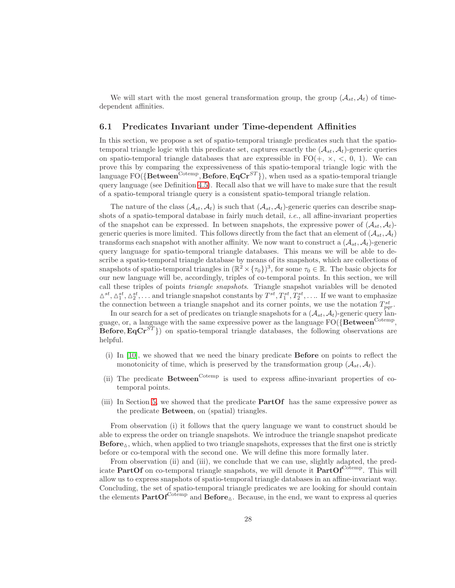We will start with the most general transformation group, the group  $(\mathcal{A}_{st}, \mathcal{A}_t)$  of timedependent affinities.

### <span id="page-27-0"></span>6.1 Predicates Invariant under Time-dependent Affinities

In this section, we propose a set of spatio-temporal triangle predicates such that the spatiotemporal triangle logic with this predicate set, captures exactly the  $(A<sub>st</sub>, A<sub>t</sub>)$ -generic queries on spatio-temporal triangle databases that are expressible in  $FO(+, \times, \leq, 0, 1)$ . We can prove this by comparing the expressiveness of this spatio-temporal triangle logic with the language FO( $\{$ Between<sup>Cotemp</sup>, Before, EqCr<sup>ST</sup>}), when used as a spatio-temporal triangle query language (see Definition [4.5\)](#page-9-0). Recall also that we will have to make sure that the result of a spatio-temporal triangle query is a consistent spatio-temporal triangle relation.

The nature of the class  $(A_{st}, A_t)$  is such that  $(A_{st}, A_t)$ -generic queries can describe snapshots of a spatio-temporal database in fairly much detail, *i.e.*, all affine-invariant properties of the snapshot can be expressed. In between snapshots, the expressive power of  $(\mathcal{A}_{st}, \mathcal{A}_t)$ generic queries is more limited. This follows directly from the fact that an element of  $(A_{st}, A_t)$ transforms each snapshot with another affinity. We now want to construct a  $(\mathcal{A}_{st}, \mathcal{A}_t)$ -generic query language for spatio-temporal triangle databases. This means we will be able to describe a spatio-temporal triangle database by means of its snapshots, which are collections of snapshots of spatio-temporal triangles in  $(\mathbb{R}^2 \times {\{\tau_0\}})^3$ , for some  $\tau_0 \in \mathbb{R}$ . The basic objects for our new language will be, accordingly, triples of co-temporal points. In this section, we will call these triples of points *triangle snapshots*. Triangle snapshot variables will be denoted  $\Delta^{st}, \Delta_1^{st}, \Delta_2^{st}, \ldots$  and triangle snapshot constants by  $T^{st}, T_1^{st}, T_2^{st}, \ldots$  If we want to emphasize the connection between a triangle snapshot and its corner points, we use the notation  $T_{pqr}^{st}$ .

In our search for a set of predicates on triangle snapshots for a  $(\mathcal{A}_{st}, \mathcal{A}_t)$ -generic query language, or, a language with the same expressive power as the language  $FO(\{Between^{Cotemp},$ **Before, EqCr**<sup>ST</sup>}) on spatio-temporal triangle databases, the following observations are helpful.

- (i) In [\[10\]](#page-41-1), we showed that we need the binary predicate Before on points to reflect the monotonicity of time, which is preserved by the transformation group  $(\mathcal{A}_{st}, \mathcal{A}_t)$ .
- (ii) The predicate  $Between^{Cotemp}$  is used to express affine-invariant properties of cotemporal points.
- (iii) In Section [5,](#page-10-0) we showed that the predicate PartOf has the same expressive power as the predicate Between, on (spatial) triangles.

From observation (i) it follows that the query language we want to construct should be able to express the order on triangle snapshots. We introduce the triangle snapshot predicate  $Before_{\Delta}$ , which, when applied to two triangle snapshots, expresses that the first one is strictly before or co-temporal with the second one. We will define this more formally later.

From observation (ii) and (iii), we conclude that we can use, slightly adapted, the predicate **PartOf** on co-temporal triangle snapshots, we will denote it  $PartOf^{Cotemp}$ . This will allow us to express snapshots of spatio-temporal triangle databases in an affine-invariant way. Concluding, the set of spatio-temporal triangle predicates we are looking for should contain the elements  $PartOf^{Cotemp}$  and  $Before_{\Delta}$ . Because, in the end, we want to express al queries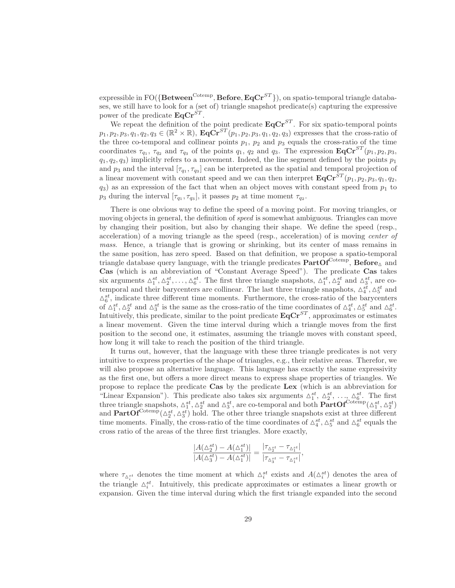$\text{expressible in FO}(\{\textbf{Between}^{\text{Cotemp}},\textbf{Before},\textbf{EqCr}^{ST}\}),$  on spatio-temporal triangle databases, we still have to look for a (set of) triangle snapshot predicate(s) capturing the expressive power of the predicate  $\mathbf{Eq} \mathbf{Cr}^{ST}$ .

We repeat the definition of the point predicate  $\mathbf{EqCr}^{ST}$ . For six spatio-temporal points  $p_1, p_2, p_3, q_1, q_2, q_3 \in (\mathbb{R}^2 \times \mathbb{R}), \mathbf{EqCr}^{ST}(p_1, p_2, p_3, q_1, q_2, q_3)$  expresses that the cross-ratio of the three co-temporal and collinear points  $p_1$ ,  $p_2$  and  $p_3$  equals the cross-ratio of the time coordinates  $\tau_{q_1}$ ,  $\tau_{q_2}$  and  $\tau_{q_3}$  of the points  $q_1$ ,  $q_2$  and  $q_3$ . The expression  $\mathbf{EqCr}^{ST}(p_1, p_2, p_3,$  $q_1, q_2, q_3$  implicitly refers to a movement. Indeed, the line segment defined by the points  $p_1$ and  $p_3$  and the interval  $[\tau_{q_1}, \tau_{q_3}]$  can be interpreted as the spatial and temporal projection of a linear movement with constant speed and we can then interpret  $\mathbf{EqCr}^{ST}(p_1, p_2, p_3, q_1, q_2,$  $q_3$ ) as an expression of the fact that when an object moves with constant speed from  $p_1$  to  $p_3$  during the interval  $[\tau_{q_1}, \tau_{q_3}]$ , it passes  $p_2$  at time moment  $\tau_{q_2}$ .

There is one obvious way to define the speed of a moving point. For moving triangles, or moving objects in general, the definition of *speed* is somewhat ambiguous. Triangles can move by changing their position, but also by changing their shape. We define the speed (resp., acceleration) of a moving triangle as the speed (resp., acceleration) of is moving *center of mass*. Hence, a triangle that is growing or shrinking, but its center of mass remains in the same position, has zero speed. Based on that definition, we propose a spatio-temporal triangle database query language, with the triangle predicates  $PartOf^{Cotemp}$ ,  $Before_{\Delta}$  and Cas (which is an abbreviation of "Constant Average Speed"). The predicate Cas takes six arguments  $\Delta_1^{st}, \Delta_2^{st}, \ldots, \Delta_6^{st}$ . The first three triangle snapshots,  $\Delta_1^{st}, \Delta_2^{st}$  and  $\Delta_3^{st}$ , are cotemporal and their barycenters are collinear. The last three triangle snapshots,  $\Delta_4^{st}$ ,  $\Delta_5^{st}$  and  $\Delta_6^{st}$ , indicate three different time moments. Furthermore, the cross-ratio of the barycenters of  $\Delta_1^{st}$ ,  $\Delta_2^{st}$  and  $\Delta_3^{st}$  is the same as the cross-ratio of the time coordinates of  $\Delta_4^{st}$ ,  $\Delta_5^{st}$  and  $\Delta_6^{st}$ . Intuitively, this predicate, similar to the point predicate  $\mathbf{EqCr}^{ST}$ , approximates or estimates a linear movement. Given the time interval during which a triangle moves from the first position to the second one, it estimates, assuming the triangle moves with constant speed, how long it will take to reach the position of the third triangle.

It turns out, however, that the language with these three triangle predicates is not very intuitive to express properties of the shape of triangles, e.g., their relative areas. Therefor, we will also propose an alternative language. This language has exactly the same expressivity as the first one, but offers a more direct means to express shape properties of triangles. We propose to replace the predicate Cas by the predicate Lex (which is an abbreviation for "Linear Expansion"). This predicate also takes six arguments  $\Delta_1^{st}$ ,  $\Delta_2^{st}$ , ...,  $\Delta_6^{st}$ . The first three triangle snapshots,  $\Delta_1^{st}$ ,  $\Delta_2^{st}$  and  $\Delta_3^{st}$ , are co-temporal and both  $\text{PartOf}^{\text{Cotemp}}(\Delta_1^{st}, \Delta_2^{st})$ and  $PartOf^{Cotemp}(\Delta_2^{st}, \Delta_3^{st})$  hold. The other three triangle snapshots exist at three different time moments. Finally, the cross-ratio of the time coordinates of  $\Delta_4^{st}$ ,  $\Delta_5^{st}$  and  $\Delta_6^{st}$  equals the cross ratio of the areas of the three first triangles. More exactly,

$$
\frac{|A(\Delta_2^{st})-A(\Delta_1^{st})|}{|A(\Delta_3^{st})-A(\Delta_1^{st})|}=\frac{|\tau_{\Delta_2^{st}}-\tau_{\Delta_1^{st}}|}{|\tau_{\Delta_3^{st}}-\tau_{\Delta_1^{st}}|},
$$

where  $\tau_{\Delta_i^{st}}$  denotes the time moment at which  $\Delta_i^{st}$  exists and  $A(\Delta_i^{st})$  denotes the area of the triangle  $\Delta_i^{st}$ . Intuitively, this predicate approximates or estimates a linear growth or expansion. Given the time interval during which the first triangle expanded into the second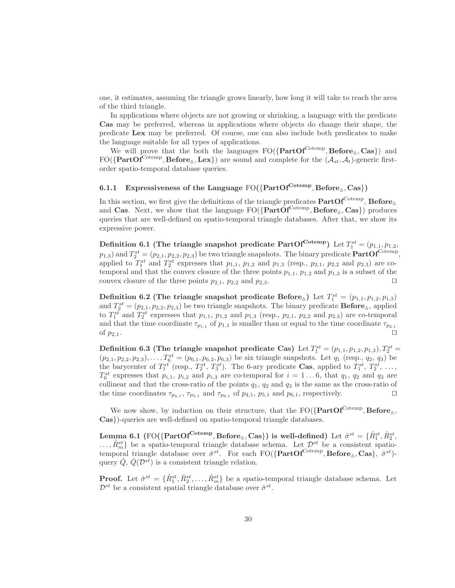one, it estimates, assuming the triangle grows linearly, how long it will take to reach the area of the third triangle.

In applications where objects are not growing or shrinking, a language with the predicate Cas may be preferred, whereas in applications where objects do change their shape, the predicate Lex may be preferred. Of course, one can also include both predicates to make the language suitable for all types of applications.

We will prove that the both the languages  $FO({\{PartOf^{Cotemp}, Before_{\triangle}, Cas\}})$  and  $FO({\{PartOf^{Cotemp}, Before_{\triangle},Lex}\})$  are sound and complete for the  $(\mathcal{A}_{st}, \mathcal{A}_t)$ -generic firstorder spatio-temporal database queries.

### 6.1.1 Expressiveness of the Language  $FO({PartOf^{Cotemp}, Before_{\triangle}, Cas})$

In this section, we first give the definitions of the triangle predicates  $\mathrm{PartOf}^{\mathrm{Cotemp}}$ ,  $\mathrm{Before}_{\triangle}$ and Cas. Next, we show that the language  $FO({\{PartOf^{Cotemp}, Before_{\Delta}, Cas\}})$  produces queries that are well-defined on spatio-temporal triangle databases. After that, we show its expressive power.

Definition 6.1 (The triangle snapshot predicate  $PartOf^{Cotemp}$ ) Let  $T_1^{st} = (p_{1,1}, p_{1,2},$  $p_{1,3}$ ) and  $T_2^{st} = (p_{2,1}, p_{2,2}, p_{2,3})$  be two triangle snapshots. The binary predicate  $PartOf^{Cotemp}$ , applied to  $T_1^{st}$  and  $T_2^{st}$  expresses that  $p_{1,1}$ ,  $p_{1,2}$  and  $p_{1,3}$  (resp.,  $p_{2,1}$ ,  $p_{2,2}$  and  $p_{2,3}$ ) are cotemporal and that the convex closure of the three points  $p_{1,1}$ ,  $p_{1,2}$  and  $p_{1,3}$  is a subset of the convex closure of the three points  $p_{2,1}$ ,  $p_{2,2}$  and  $p_{2,3}$ . □

Definition 6.2 (The triangle snapshot predicate Before<sub>△</sub>) Let  $T_1^{st} = (p_{1,1}, p_{1,2}, p_{1,3})$ and  $T_2^{st} = (p_{2,1}, p_{2,2}, p_{2,3})$  be two triangle snapshots. The binary predicate **Before**<sub> $\Delta$ </sub>, applied to  $T_1^{st}$  and  $T_2^{st}$  expresses that  $p_{1,1}$ ,  $p_{1,2}$  and  $p_{1,3}$  (resp.,  $p_{2,1}$ ,  $p_{2,2}$  and  $p_{2,3}$ ) are co-temporal and that the time coordinate  $\tau_{p_{1,1}}$  of  $p_{1,1}$  is smaller than or equal to the time coordinate  $\tau_{p_{2,1}}$ of  $p_{2,1}$ .  $□$ 

Definition 6.3 (The triangle snapshot predicate Cas) Let  $T_1^{st} = (p_{1,1}, p_{1,2}, p_{1,3}), T_2^{st} =$  $(p_{2,1}, p_{2,2}, p_{2,3}), \ldots, T_6^{st} = (p_{6,1}, p_{6,2}, p_{6,3})$  be six triangle snapshots. Let  $q_1$  (resp.,  $q_2$ ,  $q_3$ ) be the barycenter of  $T_1^{st}$  (resp.,  $T_2^{st}$ ,  $T_3^{st}$ ). The 6-ary predicate Cas, applied to  $T_1^{st}$ ,  $T_2^{st}$ , ...,  $T_6^{st}$  expresses that  $p_{i,1}$ ,  $p_{i,2}$  and  $p_{i,3}$  are co-temporal for  $i = 1...6$ , that  $q_1$ ,  $q_2$  and  $q_3$  are collinear and that the cross-ratio of the points  $q_1$ ,  $q_2$  and  $q_3$  is the same as the cross-ratio of the time coordinates  $\tau_{p_{4,1}}, \tau_{p_{5,1}}$  and  $\tau_{p_{6,1}}$  of  $p_{4,1}, p_{5,1}$  and  $p_{6,1}$ , respectively. □

We now show, by induction on their structure, that the  $FO({\bf PartOf}^{\bf Cotemp}, {\bf Before}_{\triangle},$ Cas})-queries are well-defined on spatio-temporal triangle databases.

Lemma 6.1 (FO({ $\text{PartOf}^{\text{Cotemp}}, \text{Before}_{\Delta}, \text{Cas}$ }) is well-defined) Let  $\hat{\sigma}^{st} = \{\hat{R}^{st}_1, \hat{R}^{st}_2, \}$  $\ldots, \hat{R}_{m}^{st}$  be a spatio-temporal triangle database schema. Let  $\mathcal{D}^{st}$  be a consistent spatiotemporal triangle database over  $\hat{\sigma}^{st}$ . For each FO({PartOf<sup>Cotemp</sup>, Before<sub>△</sub>, Cas},  $\hat{\sigma}^{st}$ )query  $\tilde{Q}, \tilde{Q}(\mathcal{D}^{st})$  is a consistent triangle relation.

**Proof.** Let  $\hat{\sigma}^{st} = \{\hat{R}_1^{st}, \hat{R}_2^{st}, \dots, \hat{R}_m^{st}\}\$ be a spatio-temporal triangle database schema. Let  $\mathcal{D}^{st}$  be a consistent spatial triangle database over  $\hat{\sigma}^{st}$ .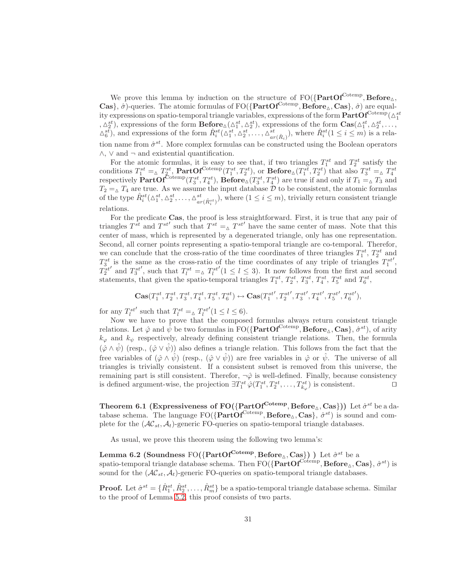We prove this lemma by induction on the structure of  ${\rm FO}(\{\rm PartOf^{Cotemp}, Before_{\Delta},$ Cas},  $\hat{\sigma}$ )-queries. The atomic formulas of FO({PartOf<sup>Cotemp</sup>, Before<sub> $\Delta$ </sub>, Cas},  $\hat{\sigma}$ ) are equality expressions on spatio-temporal triangle variables, expressions of the form  ${\bf PartOf}^{\rm Cotemp}(\Delta_1^{st}$ ,  $\Delta_2^{st}$ , expressions of the form  $\mathbf{Before}_{\Delta}(\Delta_1^{st}, \Delta_2^{st})$ , expressions of the form  $\mathbf{Cas}(\Delta_1^{st}, \Delta_2^{st}, \ldots,$  $\Delta_6^{st}$ , and expressions of the form  $\hat{R}_i^{st}(\Delta_1^{st}, \Delta_2^{st}, \ldots, \Delta_{ar(\hat{R}_i)}^{st})$ , where  $\hat{R}_i^{st}(1 \leq i \leq m)$  is a relation name from  $\hat{\sigma}^{st}$ . More complex formulas can be constructed using the Boolean operators  $\wedge$ ,  $\vee$  and  $\neg$  and existential quantification.

For the atomic formulas, it is easy to see that, if two triangles  $T_1^{st}$  and  $T_2^{st}$  satisfy the conditions  $T_1^{st} = \Delta T_2^{st}$ ,  $\text{PartOf}^{\text{Cotemp}}(T_1^{st}, T_2^{st})$ , or  $\text{Before}_{\Delta}(T_1^{st}, T_2^{st})$  that also  $T_3^{st} = \Delta T_4^{st}$ <br>respectively  $\text{PartOf}^{\text{Cotemp}}(T_3^{st}, T_4^{st})$ ,  $\text{Before}_{\Delta}(T_3^{st}, T_4^{st})$  are true if and only if  $T_1 = \Delta T_3$  and  $T_2 = \Delta T_4$  are true. As we assume the input database D to be consistent, the atomic formulas of the type  $\hat{R}_{i}^{st}(\Delta_{1}^{st}, \Delta_{2}^{st}, \ldots, \Delta_{ar(\hat{R}_{i}^{st})}^{st}),$  where  $(1 \leq i \leq m)$ , trivially return consistent triangle relations.

For the predicate Cas, the proof is less straightforward. First, it is true that any pair of triangles  $T^{st}$  and  $T^{st'}$  such that  $T^{st} = \Delta T^{st'}$  have the same center of mass. Note that this center of mass, which is represented by a degenerated triangle, only has one representation. Second, all corner points representing a spatio-temporal triangle are co-temporal. Therefor, we can conclude that the cross-ratio of the time coordinates of three triangles  $T_1^{st}$ ,  $T_2^{st}$  and  $T_3^{st}$  is the same as the cross-ratio of the time coordinates of any triple of triangles  $T_1^{st}$ ′ ,  $T_2^{st}$  $^\prime$  and  $T_3^{st}$ ', such that  $T_l^{st} = \Delta T_l^{st}$  $(1 \leq l \leq 3)$ . It now follows from the first and second statements, that given the spatio-temporal triangles  $T_1^{st}$ ,  $T_2^{st}$ ,  $T_3^{st}$ ,  $T_4^{st}$ ,  $T_5^{st}$  and  $T_6^{st}$ ,

$$
\mathbf{Cas} (T_1^{st}, T_2^{st}, T_3^{st}, T_4^{st}, T_5^{st}, T_6^{st}) \leftrightarrow \mathbf{Cas} (T_1^{st'}, T_2^{st'}, T_3^{st'}, T_4^{st'}, T_5^{st'}, T_6^{st'}),
$$

for any  $T_l^{st}$  $^\prime$  such that  $T^{st}_l = \Delta T^{st}_l$  $'(1 \leq l \leq 6).$ 

Now we have to prove that the composed formulas always return consistent triangle relations. Let  $\hat{\varphi}$  and  $\hat{\bar{\psi}}$  be two formulas in  $\text{FO}(\{\text{PartOf}^{\text{Cotemp}}, \text{Before}_{\Delta}, \text{Cas}\}, \hat{\sigma}^{st}),$  of arity  $k_{\varphi}$  and  $k_{\psi}$  respectively, already defining consistent triangle relations. Then, the formula  $(\hat{\varphi} \wedge \hat{\psi})$  (resp.,  $(\hat{\varphi} \vee \hat{\psi})$ ) also defines a triangle relation. This follows from the fact that the free variables of  $(\hat{\varphi} \wedge \hat{\psi})$  (resp.,  $(\hat{\varphi} \vee \hat{\psi})$ ) are free variables in  $\hat{\varphi}$  or  $\hat{\psi}$ . The universe of all triangles is trivially consistent. If a consistent subset is removed from this universe, the remaining part is still consistent. Therefor,  $\neg \hat{\varphi}$  is well-defined. Finally, because consistency is defined argument-wise, the projection  $\exists T_1^{st} \hat{\varphi}(T_1^{st}, T_2^{st}, \dots, T_{k_{\varphi}}^{st})$  is consistent.  $\Box$ 

<span id="page-30-0"></span>Theorem 6.1 (Expressiveness of FO( $\{PartOf^{Cotemp}, Before_\triangle, Cas\})$ ) Let  $\hat{\sigma}^{st}$  be a database schema. The language  $FO({\bf PartOf}^{Cotemp}, \bf Before_{\Delta}, Cas], \hat{\sigma}^{st})$  is sound and complete for the  $(\mathcal{AC}_{st}, \mathcal{A}_t)$ -generic FO-queries on spatio-temporal triangle databases.

<span id="page-30-1"></span>As usual, we prove this theorem using the following two lemma's:

**Lemma 6.2** (Soundness FO({ $PartOf^{Cotemp}, Before_{\triangle}, Cas$ }) ) Let  $\hat{\sigma}^{st}$  be a spatio-temporal triangle database schema. Then  $\rm FO({\{PartOf^{Cotemp}, Before_\Delta, Cas\}}, \hat{\sigma}^{st})$  is sound for the  $(\mathcal{AC}_{st}, \mathcal{A}_t)$ -generic FO-queries on spatio-temporal triangle databases.

**Proof.** Let  $\hat{\sigma}^{st} = \{\hat{R}_1^{st}, \hat{R}_2^{st}, \dots, \hat{R}_m^{st}\}$  be a spatio-temporal triangle database schema. Similar to the proof of Lemma [5.2,](#page-12-0) this proof consists of two parts.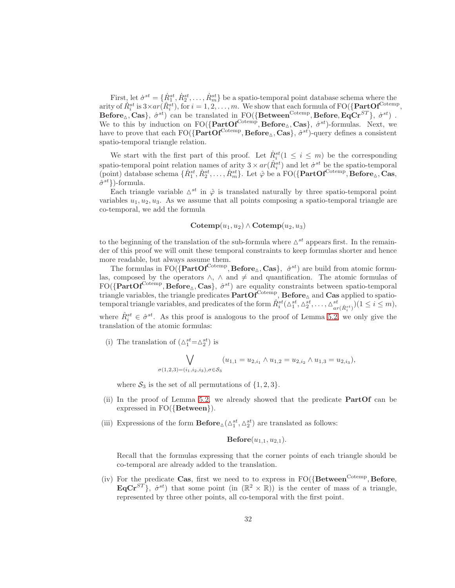First, let  $\dot{\sigma}^{st} = \{\dot{R}^{st}_1, \dot{R}^{st}_2, \dots, \dot{R}^{st}_m\}$  be a spatio-temporal point database schema where the arity of  $\dot{R}_i^{st}$  is  $3\times ar(\hat{R}_i^{st})$ , for  $i=1,2,\ldots,m$ . We show that each formula of FO $(\{\text{PartOf}^{\text{Cotemp}}\},\$ Before<sub> $\Delta$ </sub>, Cas},  $\hat{\sigma}^{st}$  can be translated in FO({Between<sup>Cotemp</sup>, Before, EqCr<sup>ST</sup>},  $\dot{\sigma}^{st}$ ). We to this by induction on  $FO({\{PartOf^{Cotemp}, Before_{\triangle}, Cas\}}, \hat{\sigma}^{st})$ -formulas. Next, we have to prove that each  $\text{FO}(\{\text{PartOf}^{\text{Cotemp}}, \text{Before}_{\Delta}, \text{Cas}\}, \hat{\sigma}^{st})$ -query defines a consistent spatio-temporal triangle relation.

We start with the first part of this proof. Let  $\dot{R}^{st}_i(1 \leq i \leq m)$  be the corresponding spatio-temporal point relation names of arity  $3 \times ar(\hat{R}^{st}_i)$  and let  $\sigma^{st}$  be the spatio-temporal (point) database schema  $\{\dot{R}_1^{st}, \dot{R}_2^{st}, \dots, \dot{R}_m^{st}\}$ . Let  $\hat{\varphi}$  be a FO( $\{\text{PartOf}^{\text{Cotemp}}, \text{Before}_{\Delta}, \text{Cas},$  $\hat{\sigma}^{st}$ })-formula.

Each triangle variable  $\Delta^{st}$  in  $\hat{\varphi}$  is translated naturally by three spatio-temporal point variables  $u_1, u_2, u_3$ . As we assume that all points composing a spatio-temporal triangle are co-temporal, we add the formula

### $\mathbf{Cotemp}(u_1, u_2) \wedge \mathbf{Cotemp}(u_2, u_3)$

to the beginning of the translation of the sub-formula where  $\Delta^{st}$  appears first. In the remainder of this proof we will omit these temporal constraints to keep formulas shorter and hence more readable, but always assume them.

The formulas in FO( $\{PartOf^{Cotemp}, Before_{\triangle}, Cas\}, \hat{\sigma}^{st}$ ) are build from atomic formulas, composed by the operators  $\land$ ,  $\land$  and  $\neq$  and quantification. The atomic formulas of  $FO({\{PartOf^{Cotemp}, Before_{\triangle}, Cas\}, \hat{\sigma}^{st})}$  are equality constraints between spatio-temporal triangle variables, the triangle predicates  $\text{PartOf}^{\text{Cotemp}}$ ,  $\text{Before}_{\Delta}$  and  $\text{Cas}$  applied to spatiotemporal triangle variables, and predicates of the form  $\hat{R}_{i}^{st}(\Delta_{1}^{st}, \Delta_{2}^{st}, \ldots, \Delta_{ar(\hat{R}_{i}^{st})}^{st})(1 \leq i \leq m)$ , where  $\hat{R}^{st}_i \in \hat{\sigma}^{st}$ . As this proof is analogous to the proof of Lemma [5.2,](#page-12-0) we only give the translation of the atomic formulas:

(i) The translation of  $(\triangle^{st}_1 = \triangle^{st}_2)$  is

$$
\bigvee_{\sigma(1,2,3)=(i_1,i_2,i_3),\sigma\in\mathcal{S}_3}(u_{1,1}=u_{2,i_1}\wedge u_{1,2}=u_{2,i_2}\wedge u_{1,3}=u_{2,i_3}),
$$

where  $S_3$  is the set of all permutations of  $\{1,2,3\}.$ 

- (ii) In the proof of Lemma [5.2,](#page-12-0) we already showed that the predicate PartOf can be expressed in FO({Between}).
- (iii) Expressions of the form  $\mathbf{Before}_{\Delta}(\Delta_1^{st}, \Delta_2^{st})$  are translated as follows:

 $Before(u_{1,1}, u_{2,1}).$ 

Recall that the formulas expressing that the corner points of each triangle should be co-temporal are already added to the translation.

(iv) For the predicate Cas, first we need to to express in  $FO({\text{Between}}^{\text{Cotemp}}, \text{Before},$  $EqCr^{ST}$ ,  $\dot{\sigma}^{st}$  that some point (in  $(\mathbb{R}^2 \times \mathbb{R})$ ) is the center of mass of a triangle, represented by three other points, all co-temporal with the first point.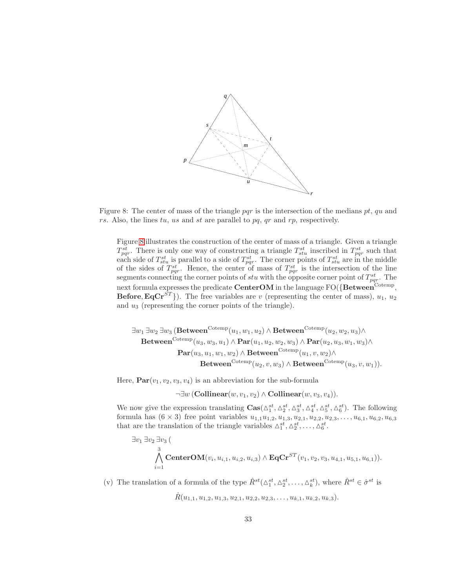

Figure 8: The center of mass of the triangle pqr is the intersection of the medians  $pt$ ,  $qu$  and rs. Also, the lines tu, us and st are parallel to  $pq$ ,  $qr$  and  $rp$ , respectively.

<span id="page-32-0"></span>Figure [8](#page-32-0) illustrates the construction of the center of mass of a triangle. Given a triangle  $T_{pqr}^{st}$ . There is only one way of constructing a triangle  $T_{stu}^{st}$  inscribed in  $T_{pqr}^{st}$  such that each side of  $T_{stu}^{st}$  is parallel to a side of  $T_{pqr}^{st}$ . The corner points of  $T_{stu}^{st}$  are in the middle of the sides of  $T_{pqr}^{st}$ . Hence, the center of mass of  $T_{pqr}^{st}$  is the intersection of the line segments connecting the corner points of stu with the opposite corner point of  $T_{pqr}^{st}$ . The next formula expresses the predicate  $\operatorname{CenterOM}$  in the language FO({ $\operatorname{Between}^{\operatorname{Cotemp}}$ , **Before, EqCr**<sup>ST</sup>}). The free variables are v (representing the center of mass),  $u_1, u_2$ and  $u_3$  (representing the corner points of the triangle).

$$
\exists w_1 \exists w_2 \exists w_3 \ (\textbf{Between}^{\text{Cotemp}}(u_1, w_1, u_2) \land \textbf{Between}^{\text{Cotemp}}(u_2, w_2, u_3) \land \text{Between}^{\text{Cotemp}}(u_3, w_3, u_1) \land \textbf{Par}(u_1, u_2, w_2, w_3) \land \textbf{Par}(u_2, u_3, w_1, w_3) \land \text{Par}(u_3, u_1, w_1, w_2) \land \textbf{Between}^{\text{Cotemp}}(u_1, v, w_2) \land \text{Between}^{\text{Cotemp}}(u_3, v, w_1)).
$$

Here,  $\text{Par}(v_1, v_2, v_3, v_4)$  is an abbreviation for the sub-formula

 $\neg \exists w \, (\mathbf{Collinear}(w, v_1, v_2) \land \mathbf{Collinear}(w, v_3, v_4)).$ 

We now give the expression translating  $\text{Cas}(\Delta_1^{st}, \Delta_2^{st}, \Delta_3^{st}, \Delta_4^{st}, \Delta_5^{st}, \Delta_6^{st})$ . The following formula has  $(6 \times 3)$  free point variables  $u_{1,1}u_{1,2}, u_{1,3}, u_{2,1}, u_{2,2}, u_{2,3}, \ldots, u_{6,1}, u_{6,2}, u_{6,3}$ that are the translation of the triangle variables  $\Delta_1^{st}, \Delta_2^{st}, \ldots, \Delta_6^{st}$ .

$$
\exists v_1 \exists v_2 \exists v_3 \, ( \newline \bigwedge_{i=1}^3 \text{CenterOM}(v_i, u_{i,1}, u_{i,2}, u_{i,3}) \wedge \text{EqCr}^{ST}(v_1, v_2, v_3, u_{4,1}, u_{5,1}, u_{6,1})).
$$

(v) The translation of a formula of the type  $\hat{R}^{st}(\Delta_1^{st}, \Delta_2^{st}, \ldots, \Delta_k^{st})$ , where  $\hat{R}^{st} \in \hat{\sigma}^{st}$  is

$$
\dot{R}(u_{1,1}, u_{1,2}, u_{1,3}, u_{2,1}, u_{2,2}, u_{2,3}, \ldots, u_{k,1}, u_{k,2}, u_{k,3}).
$$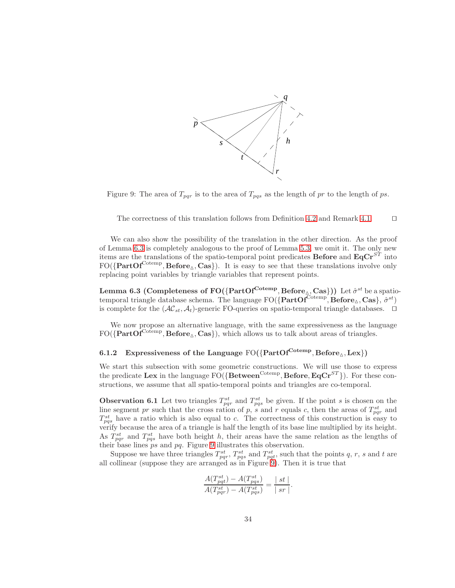



<span id="page-33-1"></span>The correctness of this translation follows from Definition [4.2](#page-5-0) and Remark [4.1.](#page-6-0) ⊓⊔

We can also show the possibility of the translation in the other direction. As the proof of Lemma [6.3](#page-33-0) is completely analogous to the proof of Lemma [5.3,](#page-15-0) we omit it. The only new items are the translations of the spatio-temporal point predicates **Before** and  $\mathbf{EqCr}^{ST}$  into  $FO({\{PartOf^{Cotemp}, Before_{\triangle}, Cas\}})$ . It is easy to see that these translations involve only replacing point variables by triangle variables that represent points.

<span id="page-33-0"></span>**Lemma 6.3 (Completeness of FO({PartOf**<sup>Cotemp</sup>, **Before**<sub>△</sub>, **Cas}))** Let  $\hat{\sigma}^{st}$  be a spatiotemporal triangle database schema. The language  $\rm FO({\{PartOf^{Cotemp}, \text{Before}_{\triangle}, \text{Cas}\}, \hat{\sigma}^{st}})$ is complete for the  $(\mathcal{AC}_s, \mathcal{A}_t)$ -generic FO-queries on spatio-temporal triangle databases. □

We now propose an alternative language, with the same expressiveness as the language  $FO({\{PartOf^{Cotemp}, Before_{\triangle}, Cas\}})$ , which allows us to talk about areas of triangles.

### 6.1.2 Expressiveness of the Language  $FO({PartOf^{Cotemp}, Before_{\triangle}, Lex})$

We start this subsection with some geometric constructions. We will use those to express the predicate Lex in the language  $FO(\{Between^{Cotemp}, Before, EqCr^{ST}\})$ . For these constructions, we assume that all spatio-temporal points and triangles are co-temporal.

<span id="page-33-2"></span>**Observation 6.1** Let two triangles  $T_{pqr}^{st}$  and  $T_{pqs}^{st}$  be given. If the point s is chosen on the line segment pr such that the cross ration of p, s and r equals c, then the areas of  $T_{pqr}^{st}$  and  $T_{pqs}^{st}$  have a ratio which is also equal to c. The correctness of this construction is easy to verify because the area of a triangle is half the length of its base line multiplied by its height. As  $T_{pqr}^{st}$  and  $T_{pqs}^{st}$  have both height h, their areas have the same relation as the lengths of their base lines ps and pq. Figure [9](#page-33-1) illustrates this observation.

Suppose we have three triangles  $T_{pqr}^{st}$ ,  $T_{pqs}^{st}$  and  $T_{pqt}^{st}$ , such that the points q, r, s and t are all collinear (suppose they are arranged as in Figure  $9$ ). Then it is true that

$$
\frac{A(T_{pqt}^{st}) - A(T_{pqs}^{st})}{A(T_{pqr}^{st}) - A(T_{pqs}^{st})} = \frac{|st|}{|sr|}.
$$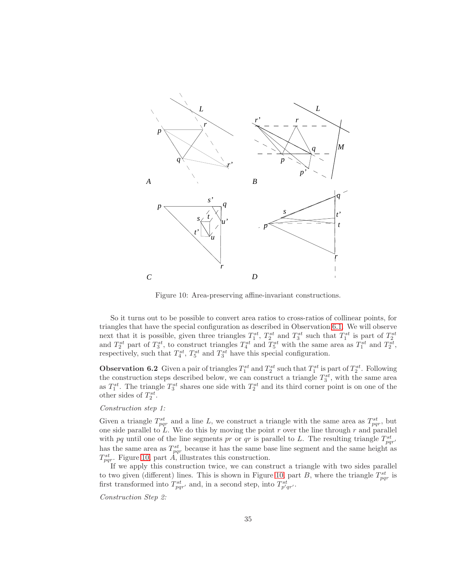

<span id="page-34-0"></span>Figure 10: Area-preserving affine-invariant constructions.

So it turns out to be possible to convert area ratios to cross-ratios of collinear points, for triangles that have the special configuration as described in Observation [6.1.](#page-33-2) We will observe next that it is possible, given three triangles  $T_1^{st}$ ,  $T_2^{st}$  and  $T_3^{st}$  such that  $T_1^{st}$  is part of  $T_2^{st}$ <br>and  $T_2^{st}$  part of  $T_3^{st}$ , to construct triangles  $T_4^{st}$  and  $T_5^{st}$  with the same area as  $T_1$ respectively, such that  $T_4^{st}$ ,  $T_5^{st}$  and  $T_3^{st}$  have this special configuration.

<span id="page-34-1"></span>**Observation 6.2** Given a pair of triangles  $T_1^{st}$  and  $T_2^{st}$  such that  $T_1^{st}$  is part of  $T_2^{st}$ . Following the construction steps described below, we can construct a triangle  $T_3^{st}$ , with the same area as  $T_1^{st}$ . The triangle  $T_3^{st}$  shares one side with  $T_2^{st}$  and its third corner point is on one of the other sides of  $T_2^{st}$ .

#### *Construction step 1:*

Given a triangle  $T_{pqr}^{st}$  and a line L, we construct a triangle with the same area as  $T_{pqr}^{st}$ , but one side parallel to  $\tilde{L}$ . We do this by moving the point r over the line through r and parallel with pq until one of the line segments pr or qr is parallel to L. The resulting triangle  $T_{pqr'}^{st}$ has the same area as  $T_{pqr}^{st}$  because it has the same base line segment and the same height as  $T_{pqr}^{st}$ . Figure [10,](#page-34-0) part  $\hat{A}$ , illustrates this construction.

If we apply this construction twice, we can construct a triangle with two sides parallel to two given (different) lines. This is shown in Figure [10,](#page-34-0) part B, where the triangle  $T_{pqr}^{st}$  is first transformed into  $T_{pqr'}^{st}$  and, in a second step, into  $T_{p'qr'}^{st}$ .

*Construction Step 2:*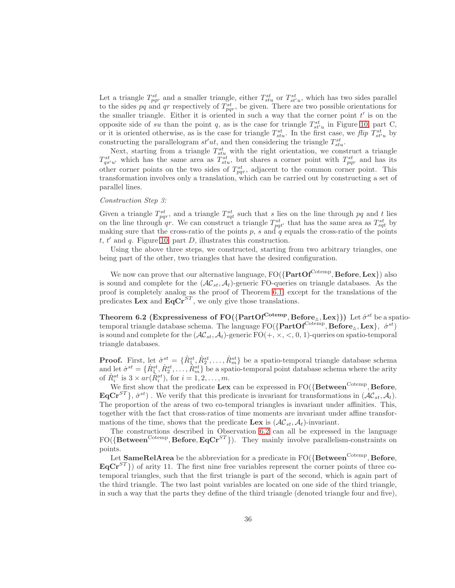Let a triangle  $T_{pqr}^{st}$  and a smaller triangle, either  $T_{stu}^{st}$  or  $T_{st'u}^{st}$ , which has two sides parallel to the sides pq and qr respectively of  $T_{pqr}^{st}$ , be given. There are two possible orientations for the smaller triangle. Either it is oriented in such a way that the corner point  $t'$  is on the opposite side of su than the point q, as is the case for triangle  $T_{st'u}^{st}$  in Figure [10,](#page-34-0) part C, or it is oriented otherwise, as is the case for triangle  $T_{stu}^{st}$ . In the first case, we *flip*  $T_{stu}^{st}$  by constructing the parallelogram  $st'ut$ , and then considering the triangle  $T_{stu}^{st}$ .

Next, starting from a triangle  $T_{stu}^{st}$  with the right orientation, we construct a triangle  $T_{qs'u'}^{st}$  which has the same area as  $T_{stu}^{st}$ , but shares a corner point with  $T_{pqr}^{st}$  and has its other corner points on the two sides of  $T_{pqr}^{st}$ , adjacent to the common corner point. This transformation involves only a translation, which can be carried out by constructing a set of parallel lines.

#### *Construction Step 3:*

Given a triangle  $T_{pqr}^{st}$ , and a triangle  $T_{sqt}^{st}$  such that s lies on the line through pq and t lies on the line through qr. We can construct a triangle  $T_{pqt'}^{st}$  that has the same area as  $T_{sqt}^{st}$  by making sure that the cross-ratio of the points  $p$ , s and  $q$  equals the cross-ratio of the points  $t, t'$  and  $q$ . Figure [10,](#page-34-0) part  $D$ , illustrates this construction.

Using the above three steps, we constructed, starting from two arbitrary triangles, one being part of the other, two triangles that have the desired configuration.

We now can prove that our alternative language,  $FO({\bf PartOf}^{\bf Cotemp}, {\bf Before}, {\bf Lex})$  also is sound and complete for the  $(\mathcal{AC}_{st}, \mathcal{A}_t)$ -generic FO-queries on triangle databases. As the proof is completely analog as the proof of Theorem [6.1,](#page-30-0) except for the translations of the predicates Lex and  $\mathbf{EqCr}^{ST}$ , we only give those translations.

Theorem 6.2 (Expressiveness of FO({PartOf<sup>Cotemp</sup>, Before<sub> $\triangle$ </sub>, Lex})) Let  $\hat{\sigma}^{st}$  be a spatiotemporal triangle database schema. The language  ${\rm FO}(\{ \rm PartOf^{Cotemp}, Before_\Delta, Lex \}, \hat{\sigma}^{st})$ is sound and complete for the  $(\mathcal{AC}_{st}, \mathcal{A}_t)$ -generic  $FO(+, \times, \lt, 0, 1)$ -queries on spatio-temporal triangle databases.

**Proof.** First, let  $\hat{\sigma}^{st} = \{\hat{R}_1^{st}, \hat{R}_2^{st}, \dots, \hat{R}_m^{st}\}\$ be a spatio-temporal triangle database schema and let  $\sigma^{st} = \{\dot{R}_{1}^{st}, \dot{R}_{2}^{st}, \ldots, \dot{R}_{m}^{st}\}$  be a spatio-temporal point database schema where the arity of  $\dot{R}_i^{st}$  is  $3 \times ar(\hat{R}_i^{st})$ , for  $i = 1, 2, ..., m$ .

We first show that the predicate Lex can be expressed in  $FO({\text{Between}}^{\text{Cotemp}}, \text{Before},$  $\textbf{EqCr}^{ST}$ ,  $\dot{\sigma}^{st}$ ). We verify that this predicate is invariant for transformations in  $(\mathcal{AC}_{st}, \mathcal{A}_t)$ . The proportion of the areas of two co-temporal triangles is invariant under affinities. This, together with the fact that cross-ratios of time moments are invariant under affine transformations of the time, shows that the predicate Lex is  $(\mathcal{AC}_{st}, \mathcal{A}_t)$ -invariant.

The constructions described in Observation [6.2](#page-34-1) can all be expressed in the language  $FO({\bf Between^{Cotemp}, \bf Before, EqCr^{ST}})$ . They mainly involve parallelism-constraints on points.

Let  $\mathbf{SameRelArea}$  be the abbreviation for a predicate in FO( $\{\mathbf{Between}^{\mathbf{Cotemp}}, \mathbf{Before},$  $EqCr^{ST}$ }) of arity 11. The first nine free variables represent the corner points of three cotemporal triangles, such that the first triangle is part of the second, which is again part of the third triangle. The two last point variables are located on one side of the third triangle, in such a way that the parts they define of the third triangle (denoted triangle four and five),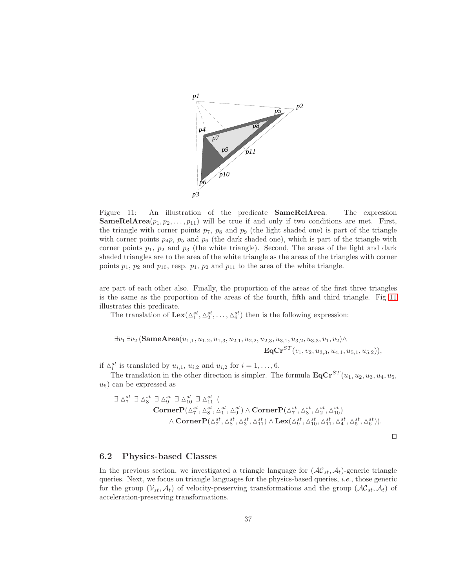

<span id="page-36-0"></span>Figure 11: An illustration of the predicate SameRelArea. The expression **SameRelArea** $(p_1, p_2, \ldots, p_{11})$  will be true if and only if two conditions are met. First, the triangle with corner points  $p_7$ ,  $p_8$  and  $p_9$  (the light shaded one) is part of the triangle with corner points  $p_4p$ ,  $p_5$  and  $p_6$  (the dark shaded one), which is part of the triangle with corner points  $p_1$ ,  $p_2$  and  $p_3$  (the white triangle). Second, The areas of the light and dark shaded triangles are to the area of the white triangle as the areas of the triangles with corner points  $p_1$ ,  $p_2$  and  $p_{10}$ , resp.  $p_1$ ,  $p_2$  and  $p_{11}$  to the area of the white triangle.

are part of each other also. Finally, the proportion of the areas of the first three triangles is the same as the proportion of the areas of the fourth, fifth and third triangle. Fig [11](#page-36-0) illustrates this predicate.

The translation of  $\text{Lex}(\Delta_1^{st}, \Delta_2^{st}, \ldots, \Delta_6^{st})$  then is the following expression:

$$
\exists v_1 \exists v_2 (\mathbf{SameArea}(u_{1,1}, u_{1,2}, u_{1,3}, u_{2,1}, u_{2,2}, u_{2,3}, u_{3,1}, u_{3,2}, u_{3,3}, v_1, v_2) \land \mathbf{EqCr}^{ST}(v_1, v_2, u_{3,3}, u_{4,1}, u_{5,1}, u_{5,2})),
$$

if  $\Delta_i^{st}$  is translated by  $u_{i,1}$ ,  $u_{i,2}$  and  $u_{i,2}$  for  $i = 1, \ldots, 6$ .

The translation in the other direction is simpler. The formula  $\mathbf{EqCr}^{ST}(u_1, u_2, u_3, u_4, u_5,$  $u_6$ ) can be expressed as

$$
\exists \Delta^{st}_{7} \exists \Delta^{st}_{8} \exists \Delta^{st}_{9} \exists \Delta^{st}_{10} \exists \Delta^{st}_{11} (\text{CornerP}(\Delta^{st}_{7}, \Delta^{st}_{8}, \Delta^{st}_{1}, \Delta^{st}_{9}) \land \text{CornerP}(\Delta^{st}_{7}, \Delta^{st}_{8}, \Delta^{st}_{2}, \Delta^{st}_{10}) \\ \land \text{CornerP}(\Delta^{st}_{7}, \Delta^{st}_{8}, \Delta^{st}_{3}, \Delta^{st}_{11}) \land \text{Lex}(\Delta^{st}_{9}, \Delta^{st}_{10}, \Delta^{st}_{11}, \Delta^{st}_{4}, \Delta^{st}_{5}, \Delta^{st}_{6})).
$$

⊓⊔

#### <span id="page-36-1"></span>6.2 Physics-based Classes

In the previous section, we investigated a triangle language for  $(\mathcal{AC}_{st}, \mathcal{A}_t)$ -generic triangle queries. Next, we focus on triangle languages for the physics-based queries, *i.e.*, those generic for the group  $(\mathcal{V}_{st}, \mathcal{A}_t)$  of velocity-preserving transformations and the group  $(\mathcal{AC}_{st}, \mathcal{A}_t)$  of acceleration-preserving transformations.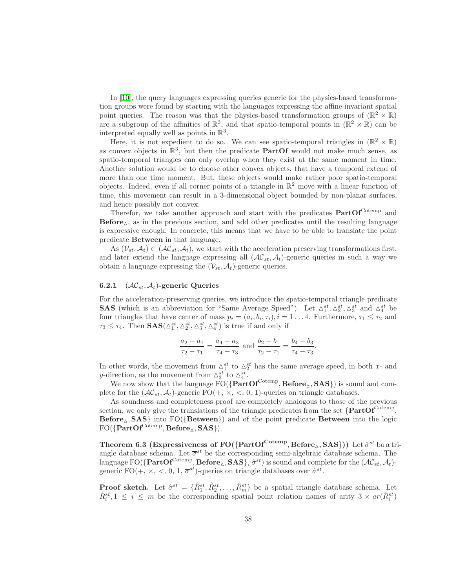In [\[10\]](#page-41-1), the query languages expressing queries generic for the physics-based transformation groups were found by starting with the languages expressing the affine-invariant spatial point queries. The reason was that the physics-based transformation groups of  $(\mathbb{R}^2 \times \mathbb{R})$ are a subgroup of the affinities of  $\mathbb{R}^3$ , and that spatio-temporal points in  $(\mathbb{R}^2 \times \mathbb{R})$  can be interpreted equally well as points in  $\mathbb{R}^3$ .

Here, it is not expedient to do so. We can see spatio-temporal triangles in  $(\mathbb{R}^2 \times \mathbb{R})$ as convex objects in  $\mathbb{R}^3$ , but then the predicate **PartOf** would not make much sense, as spatio-temporal triangles can only overlap when they exist at the same moment in time. Another solution would be to choose other convex objects, that have a temporal extend of more than one time moment. But, these objects would make rather poor spatio-temporal objects. Indeed, even if all corner points of a triangle in  $\mathbb{R}^2$  move with a linear function of time, this movement can result in a 3-dimensional object bounded by non-planar surfaces, and hence possibly not convex.

Therefor, we take another approach and start with the predicates  $PartOf^{Cotemp}$  and  $Before_{\Delta}$ , as in the previous section, and add other predicates until the resulting language is expressive enough. In concrete, this means that we have to be able to translate the point predicate Between in that language.

As  $(\mathcal{V}_{st}, \mathcal{A}_t) \subset (\mathcal{AC}_{st}, \mathcal{A}_t)$ , we start with the acceleration preserving transformations first, and later extend the language expressing all  $(\mathcal{AC}_{st}, \mathcal{A}_t)$ -generic queries in such a way we obtain a language expressing the  $(\mathcal{V}_{st}, \mathcal{A}_t)$ -generic queries.

### 6.2.1  $(\mathcal{AC}_{st}, \mathcal{A}_t)$ -generic Queries

For the acceleration-preserving queries, we introduce the spatio-temporal triangle predicate **SAS** (which is an abbreviation for "Same Average Speed"). Let  $\Delta_1^{st}$ ,  $\Delta_2^{st}$ ,  $\Delta_3^{st}$  and  $\Delta_4^{st}$  be four triangles that have center of mass  $p_i = (a_i, b_i, \tau_i), i = 1...4$ . Furthermore,  $\tau_1 \leq \tau_2$  and  $\tau_3 \leq \tau_4$ . Then  $\textbf{SAS}(\Delta_1^{st}, \Delta_2^{st}, \Delta_3^{st}, \Delta_4^{st})$  is true if and only if

$$
\frac{a_2 - a_1}{\tau_2 - \tau_1} = \frac{a_4 - a_3}{\tau_4 - \tau_3}
$$
 and 
$$
\frac{b_2 - b_1}{\tau_2 - \tau_1} = \frac{b_4 - b_3}{\tau_4 - \tau_3}.
$$

In other words, the movement from  $\Delta_1^{st}$  to  $\Delta_2^{st}$  has the same average speed, in both x- and y-direction, as the movement from  $\Delta_3^{st}$  to  $\Delta_4^{st}$ .

We now show that the language  $\text{FO}(\{\text{PartOf}^{\text{Cotemp}}, \text{Before}_{\Delta}, \text{SAS}\})$  is sound and complete for the  $(\mathcal{AC}_{st}, \mathcal{A}_t)$ -generic FO(+,  $\times$ , <, 0, 1)-queries on triangle databases.

As soundness and completeness proof are completely analogous to those of the previous section, we only give the translations of the triangle predicates from the set  $\{PartOf^{Cotemp}$ ,  $\text{Before}_{\Delta}$ ,  $\text{SAS}$  into FO({Between}) and of the point predicate Between into the logic  ${\rm FO}(\{{\rm PartOf}^{\rm Cotemp}, {\rm Before}_\triangle, {\rm SAS}\}).$ 

Theorem 6.3 (Expressiveness of FO({PartOf<sup>Cotemp</sup>, Before<sub>∆</sub>, SAS})) Let  $\hat{\sigma}^{st}$  ba a triangle database schema. Let  $\overline{\sigma}^{st}$  be the corresponding semi-algebraic database schema. The language  ${\rm FO}(\{{\bf PartOf}^{\rm Cotemp},{\bf Before}_{\vartriangle},{\bf SAS}\},\hat{\sigma}^{st})$  is sound and complete for the  $(\mathcal{AC}_{st},\mathcal{A}_t)$ generic FO(+,  $\times$ , <, 0, 1,  $\overline{\sigma}^{st}$ )-queries on triangle databases over  $\hat{\sigma}^{st}$ .

**Proof sketch.** Let  $\hat{\sigma}^{st} = \{\hat{R}^{st}_1, \hat{R}^{st}_2, \dots, \hat{R}^{st}_m\}$  be a spatial triangle database schema. Let  $\dot{R}_i^{st}$ ,  $1 \leq i \leq m$  be the corresponding spatial point relation names of arity  $3 \times ar(\hat{R}_i^{st})$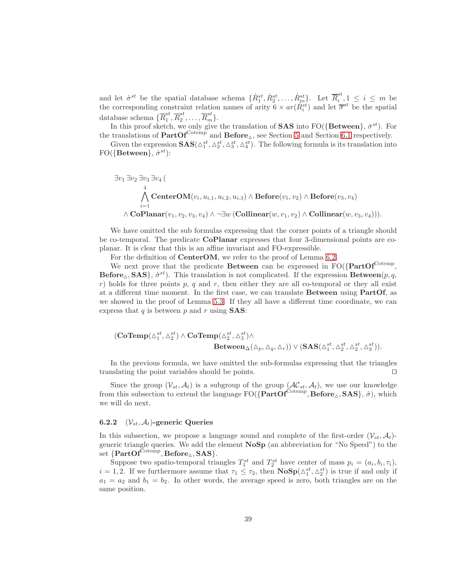and let  $\dot{\sigma}^{st}$  be the spatial database schema  $\{\dot{R}^{st}_1, \dot{R}^{st}_2, \ldots, \dot{R}^{st}_m\}$ . Let  $\overline{R}^{st}_i$  $i, 1 \leq i \leq m$  be the corresponding constraint relation names of arity  $6 \times ar(\hat{R}^{st}_i)$  and let  $\overline{\sigma}^{st}$  be the spatial database schema $\{\overline{R}_1^{st}$  $_1^{st}, \overline{R}_2^{st}$  $z^{st}, \ldots, \overline{R}_m^{st}$ .

In this proof sketch, we only give the translation of **SAS** into  $FO({Between}, \dot{\sigma}^{st})$ . For the translations of  $PartOf^{Cotemp}$  and  $Before_{\Delta}$ , see Section [5](#page-10-0) and Section [6.1](#page-27-0) respectively.

Given the expression  $SAS(\Delta_1^{st}, \Delta_2^{st}, \Delta_3^{st}, \Delta_4^{st})$ . The following formula is its translation into  $FO({\lbrace Between \rbrace}, \dot{\sigma}^{st})$ :

$$
\exists v_1 \exists v_2 \exists v_3 \exists v_4 \left( \text{CenterOM}(v_i, u_{i,1}, u_{i,2}, u_{i,3}) \land \text{Before}(v_1, v_2) \land \text{Before}(v_3, v_4) \right.\n\bigwedge_{i=1}^4 \text{CenterOM}(v_i, u_{i,1}, u_{i,2}, u_{i,3}) \land \text{Before}(v_1, v_2) \land \text{Before}(v_3, v_4) \right).
$$

We have omitted the sub formulas expressing that the corner points of a triangle should be co-temporal. The predicate CoPlanar expresses that four 3-dimensional points are coplanar. It is clear that this is an affine invariant and FO-expressible.

For the definition of CenterOM, we refer to the proof of Lemma [6.2.](#page-30-1)

We next prove that the predicate **Between** can be expressed in  $FO({}PartOf^{Cotemp},$ Before<sub> $\Delta$ </sub>, SAS},  $\hat{\sigma}^{st}$ ). This translation is not complicated. If the expression Between(p, q, r) holds for three points p, q and r, then either they are all co-temporal or they all exist at a different time moment. In the first case, we can translate  $B$ etween using  $PartOf$ , as we showed in the proof of Lemma [5.3.](#page-15-0) If they all have a different time coordinate, we can express that  $q$  is between  $p$  and  $r$  using **SAS**:

$$
\begin{aligned} (\mathbf{CoTemp}(\vartriangle^{st}_1, \vartriangle^{st}_2) \wedge \mathbf{CoTemp}(\vartriangle^{st}_2, \vartriangle^{st}_3) \wedge \\ \mathbf{Between}_{\Delta}(\vartriangle_p, \vartriangle_q, \vartriangle_r)) \vee (\mathbf{SAS}(\vartriangle^{st}_1, \vartriangle^{st}_2, \vartriangle^{st}_2, \vartriangle^{st}_3)). \end{aligned}
$$

In the previous formula, we have omitted the sub-formulas expressing that the triangles translating the point variables should be points. ⊓⊔

Since the group  $(V_{st}, A_t)$  is a subgroup of the group  $(\mathcal{AC}_{st}, A_t)$ , we use our knowledge from this subsection to extend the language  $FO({\{PartOf^{Cotemp}, Before_{\triangle},SAS\}}, \hat{\sigma})$ , which we will do next.

#### 6.2.2  $(\mathcal{V}_{st}, \mathcal{A}_t)$ -generic Queries

In this subsection, we propose a language sound and complete of the first-order  $(\mathcal{V}_{st}, \mathcal{A}_t)$ generic triangle queries. We add the element NoSp (an abbreviation for "No Speed") to the  $\mathrm{set}\ \{\mathbf{PartOf}^{\mathrm{Cotemp}}, \mathbf{Before}_{\Delta}, \mathbf{SAS}\}.$ 

Suppose two spatio-temporal triangles  $T_1^{st}$  and  $T_2^{st}$  have center of mass  $p_i = (a_i, b_i, \tau_i)$ ,  $i = 1, 2$ . If we furthermore assume that  $\tau_1 \leq \tau_2$ , then  $\mathbf{NoSp}(\Delta_1^{st}, \Delta_2^{st})$  is true if and only if  $a_1 = a_2$  and  $b_1 = b_2$ . In other words, the average speed is zero, both triangles are on the same position.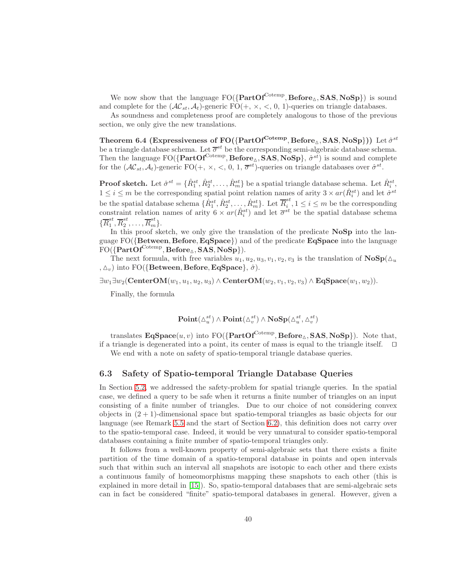We now show that the language  $FO({\bf PartOf}^{Cotemp}, \bf Before \Delta, SAS, NoSp)$  is sound and complete for the  $(\mathcal{AC}_{st}, \mathcal{A}_t)$ -generic FO(+,  $\times$ , <, 0, 1)-queries on triangle databases.

As soundness and completeness proof are completely analogous to those of the previous section, we only give the new translations.

Theorem 6.4 (Expressiveness of FO({PartOf<sup>Cotemp</sup>, Before<sub>△</sub>, SAS, NoSp})) Let  $\hat{\sigma}^{st}$ be a triangle database schema. Let  $\overline{\sigma}^{st}$  be the corresponding semi-algebraic database schema. Then the language  $FO({\{PartOf^{Cotemp}, Before_{\Delta},SAS, NoSp\}}, \hat{\sigma}^{st})$  is sound and complete for the  $(\mathcal{AC}_{st}, \mathcal{A}_t)$ -generic FO $(+,\times, <, 0, 1, \overline{\sigma}^{st})$ -queries on triangle databases over  $\hat{\sigma}^{st}$ .

**Proof sketch.** Let  $\hat{\sigma}^{st} = \{\hat{R}^{st}_1, \hat{R}^{st}_2, \dots, \hat{R}^{st}_m\}$  be a spatial triangle database schema. Let  $\dot{R}^{st}_i$ ,  $1 \leq i \leq m$  be the corresponding spatial point relation names of arity  $3 \times ar(\hat{R}^{st}_i)$  and let  $\dot{\sigma}^{st}$ be the spatial database schema  $\{\dot{R}_1^{st}, \dot{R}_2^{st}, \ldots, \dot{R}_m^{st}\}$ . Let  $\overline{R}_i^{st}$  $i, 1 \leq i \leq m$  be the corresponding constraint relation names of arity  $6 \times ar(\hat{R}^{st}_i)$  and let  $\overline{\sigma}^{st}$  be the spatial database schema  $\{\overline{R}_1^{st}$  $_1^{st}, \overline{R}_2^{st}$  $z^{st}, \ldots, \overline{R}_m^{st}$ .

In this proof sketch, we only give the translation of the predicate NoSp into the language  $FO({Between, Before, EqSpace})$  and of the predicate  $EqSpace$  into the language  ${\rm FO}(\{{\rm PartOf}^{\rm Cotemp},{\rm Before}_\vartriangle,{\rm SAS},{\rm NoSp}\}).$ 

The next formula, with free variables  $u_1, u_2, u_3, v_1, v_2, v_3$  is the translation of  $\mathbf{NoSp}(\Delta_u)$ ,  $\Delta_v$ ) into FO({Between, Before, EqSpace},  $\hat{\sigma}$ ).

 $\exists w_1 \exists w_2 (\text{CenterOM}(w_1, u_1, u_2, u_3) \wedge \text{CenterOM}(w_2, v_1, v_2, v_3) \wedge \text{EqSpace}(w_1, w_2)).$ 

Finally, the formula

$$
\mathbf{Point}(\triangle^{st}_u) \wedge \mathbf{Point}(\triangle^{st}_v) \wedge \mathbf{NoSp}(\triangle^{st}_u, \triangle^{st}_v)
$$

translates  $\text{EqSpace}(u, v)$  into  $\text{FO}(\{\text{PartOf}^{\text{Cotemp}}, \text{Before}_{\Delta}, \text{SAS}, \text{NoSp}\})$ . Note that, if a triangle is degenerated into a point, its center of mass is equal to the triangle itself. ⊓⊔

We end with a note on safety of spatio-temporal triangle database queries.

#### 6.3 Safety of Spatio-temporal Triangle Database Queries

In Section [5.2,](#page-21-2) we addressed the safety-problem for spatial triangle queries. In the spatial case, we defined a query to be safe when it returns a finite number of triangles on an input consisting of a finite number of triangles. Due to our choice of not considering convex objects in  $(2 + 1)$ -dimensional space but spatio-temporal triangles as basic objects for our language (see Remark [5.5](#page-21-3) and the start of Section [6.2\)](#page-36-1), this definition does not carry over to the spatio-temporal case. Indeed, it would be very unnatural to consider spatio-temporal databases containing a finite number of spatio-temporal triangles only.

It follows from a well-known property of semi-algebraic sets that there exists a finite partition of the time domain of a spatio-temporal database in points and open intervals such that within such an interval all snapshots are isotopic to each other and there exists a continuous family of homeomorphisms mapping these snapshots to each other (this is explained in more detail in [\[15\]](#page-42-11)). So, spatio-temporal databases that are semi-algebraic sets can in fact be considered "finite" spatio-temporal databases in general. However, given a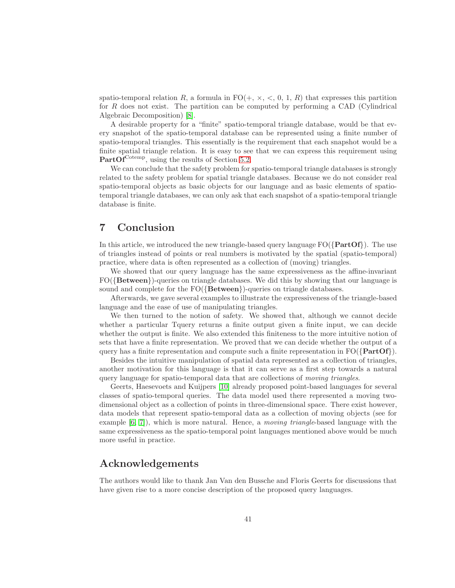spatio-temporal relation R, a formula in  $FO(+, \times, <, 0, 1, R)$  that expresses this partition for R does not exist. The partition can be computed by performing a CAD (Cylindrical Algebraic Decomposition) [\[8\]](#page-41-12).

A desirable property for a "finite" spatio-temporal triangle database, would be that every snapshot of the spatio-temporal database can be represented using a finite number of spatio-temporal triangles. This essentially is the requirement that each snapshot would be a finite spatial triangle relation. It is easy to see that we can express this requirement using  $PartOf^{Cotemp}$ , using the results of Section [5.2.](#page-21-2)

We can conclude that the safety problem for spatio-temporal triangle databases is strongly related to the safety problem for spatial triangle databases. Because we do not consider real spatio-temporal objects as basic objects for our language and as basic elements of spatiotemporal triangle databases, we can only ask that each snapshot of a spatio-temporal triangle database is finite.

## 7 Conclusion

In this article, we introduced the new triangle-based query language  $FO({\text{PartOf}})$ . The use of triangles instead of points or real numbers is motivated by the spatial (spatio-temporal) practice, where data is often represented as a collection of (moving) triangles.

We showed that our query language has the same expressiveness as the affine-invariant FO({Between})-queries on triangle databases. We did this by showing that our language is sound and complete for the FO({Between})-queries on triangle databases.

Afterwards, we gave several examples to illustrate the expressiveness of the triangle-based language and the ease of use of manipulating triangles.

We then turned to the notion of safety. We showed that, although we cannot decide whether a particular Tquery returns a finite output given a finite input, we can decide whether the output is finite. We also extended this finiteness to the more intuitive notion of sets that have a finite representation. We proved that we can decide whether the output of a query has a finite representation and compute such a finite representation in  $FO({\{PartOf\}})$ .

Besides the intuitive manipulation of spatial data represented as a collection of triangles, another motivation for this language is that it can serve as a first step towards a natural query language for spatio-temporal data that are collections of *moving triangles*.

Geerts, Haesevoets and Kuijpers [\[10\]](#page-41-1) already proposed point-based languages for several classes of spatio-temporal queries. The data model used there represented a moving twodimensional object as a collection of points in three-dimensional space. There exist however, data models that represent spatio-temporal data as a collection of moving objects (see for example [\[6,](#page-41-4) [7\]](#page-41-5)), which is more natural. Hence, a *moving triangle*-based language with the same expressiveness as the spatio-temporal point languages mentioned above would be much more useful in practice.

## Acknowledgements

The authors would like to thank Jan Van den Bussche and Floris Geerts for discussions that have given rise to a more concise description of the proposed query languages.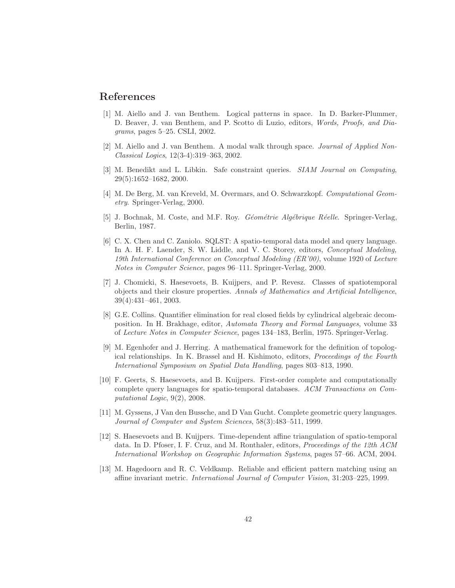## <span id="page-41-8"></span>References

- [1] M. Aiello and J. van Benthem. Logical patterns in space. In D. Barker-Plummer, D. Beaver, J. van Benthem, and P. Scotto di Luzio, editors, *Words, Proofs, and Diagrams*, pages 5–25. CSLI, 2002.
- <span id="page-41-10"></span><span id="page-41-9"></span>[2] M. Aiello and J. van Benthem. A modal walk through space. *Journal of Applied Non-Classical Logics*, 12(3-4):319–363, 2002.
- <span id="page-41-3"></span>[3] M. Benedikt and L. Libkin. Safe constraint queries. *SIAM Journal on Computing*, 29(5):1652–1682, 2000.
- <span id="page-41-6"></span>[4] M. De Berg, M. van Kreveld, M. Overmars, and O. Schwarzkopf. *Computational Geometry*. Springer-Verlag, 2000.
- [5] J. Bochnak, M. Coste, and M.F. Roy. *G´eom´etrie Alg´ebrique R´eelle*. Springer-Verlag, Berlin, 1987.
- <span id="page-41-4"></span>[6] C. X. Chen and C. Zaniolo. SQLST: A spatio-temporal data model and query language. In A. H. F. Laender, S. W. Liddle, and V. C. Storey, editors, *Conceptual Modeling, 19th International Conference on Conceptual Modeling (ER'00)*, volume 1920 of *Lecture Notes in Computer Science*, pages 96–111. Springer-Verlag, 2000.
- <span id="page-41-5"></span>[7] J. Chomicki, S. Haesevoets, B. Kuijpers, and P. Revesz. Classes of spatiotemporal objects and their closure properties. *Annals of Mathematics and Artificial Intelligence*, 39(4):431–461, 2003.
- <span id="page-41-12"></span>[8] G.E. Collins. Quantifier elimination for real closed fields by cylindrical algebraic decomposition. In H. Brakhage, editor, *Automata Theory and Formal Languages*, volume 33 of *Lecture Notes in Computer Science*, pages 134–183, Berlin, 1975. Springer-Verlag.
- <span id="page-41-7"></span>[9] M. Egenhofer and J. Herring. A mathematical framework for the definition of topological relationships. In K. Brassel and H. Kishimoto, editors, *Proceedings of the Fourth International Symposium on Spatial Data Handling*, pages 803–813, 1990.
- <span id="page-41-1"></span>[10] F. Geerts, S. Haesevoets, and B. Kuijpers. First-order complete and computationally complete query languages for spatio-temporal databases. *ACM Transactions on Computational Logic*, 9(2), 2008.
- <span id="page-41-2"></span>[11] M. Gyssens, J Van den Bussche, and D Van Gucht. Complete geometric query languages. *Journal of Computer and System Sciences*, 58(3):483–511, 1999.
- <span id="page-41-11"></span>[12] S. Haesevoets and B. Kuijpers. Time-dependent affine triangulation of spatio-temporal data. In D. Pfoser, I. F. Cruz, and M. Ronthaler, editors, *Proceedings of the 12th ACM International Workshop on Geographic Information Systems*, pages 57–66. ACM, 2004.
- <span id="page-41-0"></span>[13] M. Hagedoorn and R. C. Veldkamp. Reliable and efficient pattern matching using an affine invariant metric. *International Journal of Computer Vision*, 31:203–225, 1999.